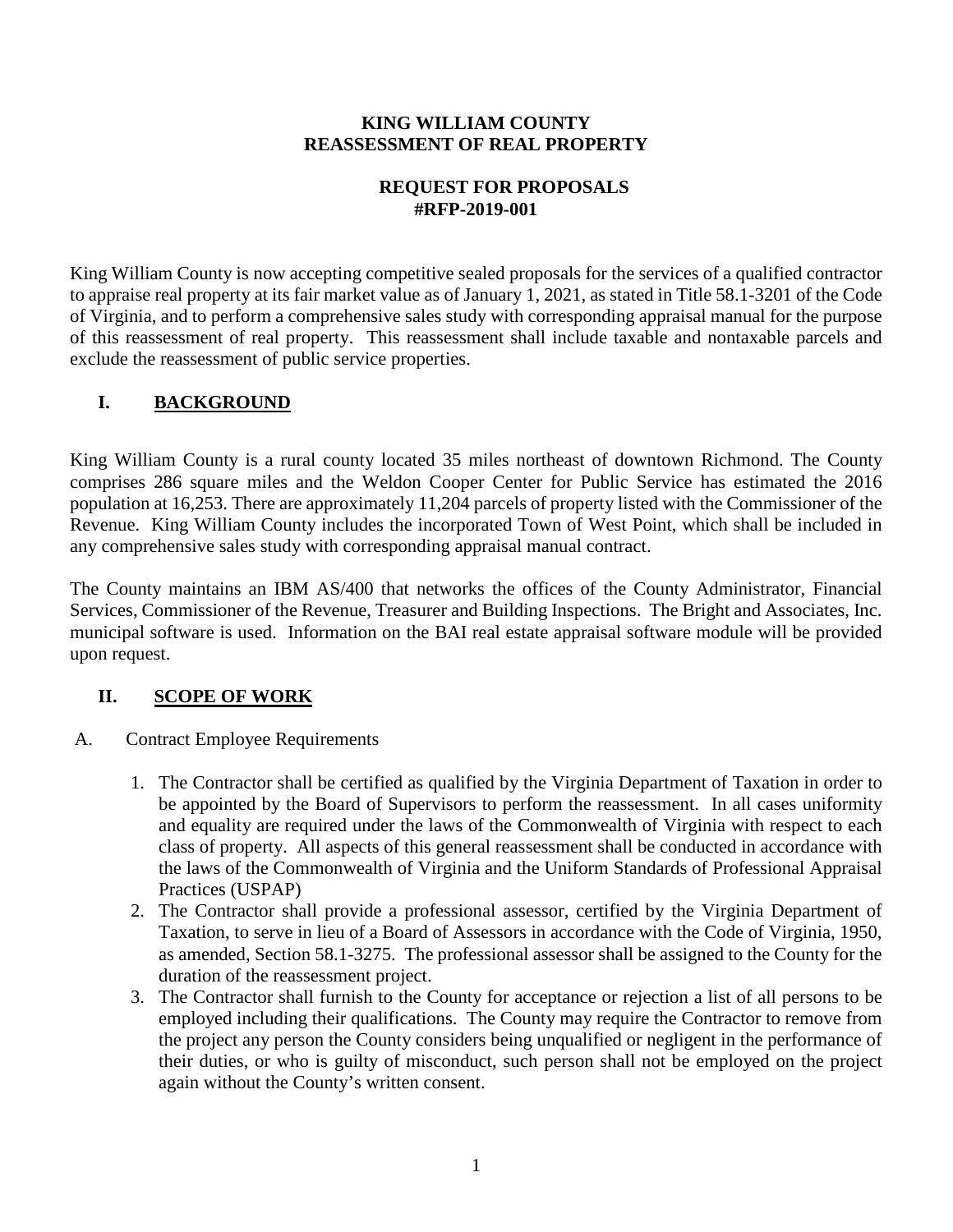#### **KING WILLIAM COUNTY REASSESSMENT OF REAL PROPERTY**

### **REQUEST FOR PROPOSALS #RFP-2019-001**

King William County is now accepting competitive sealed proposals for the services of a qualified contractor to appraise real property at its fair market value as of January 1, 2021, as stated in Title 58.1-3201 of the Code of Virginia, and to perform a comprehensive sales study with corresponding appraisal manual for the purpose of this reassessment of real property. This reassessment shall include taxable and nontaxable parcels and exclude the reassessment of public service properties.

# **I. BACKGROUND**

King William County is a rural county located 35 miles northeast of downtown Richmond. The County comprises 286 square miles and the Weldon Cooper Center for Public Service has estimated the 2016 population at 16,253. There are approximately 11,204 parcels of property listed with the Commissioner of the Revenue. King William County includes the incorporated Town of West Point, which shall be included in any comprehensive sales study with corresponding appraisal manual contract.

The County maintains an IBM AS/400 that networks the offices of the County Administrator, Financial Services, Commissioner of the Revenue, Treasurer and Building Inspections. The Bright and Associates, Inc. municipal software is used. Information on the BAI real estate appraisal software module will be provided upon request.

# **II. SCOPE OF WORK**

- A. Contract Employee Requirements
	- 1. The Contractor shall be certified as qualified by the Virginia Department of Taxation in order to be appointed by the Board of Supervisors to perform the reassessment. In all cases uniformity and equality are required under the laws of the Commonwealth of Virginia with respect to each class of property. All aspects of this general reassessment shall be conducted in accordance with the laws of the Commonwealth of Virginia and the Uniform Standards of Professional Appraisal Practices (USPAP)
	- 2. The Contractor shall provide a professional assessor, certified by the Virginia Department of Taxation, to serve in lieu of a Board of Assessors in accordance with the Code of Virginia, 1950, as amended, Section 58.1-3275. The professional assessor shall be assigned to the County for the duration of the reassessment project.
	- 3. The Contractor shall furnish to the County for acceptance or rejection a list of all persons to be employed including their qualifications. The County may require the Contractor to remove from the project any person the County considers being unqualified or negligent in the performance of their duties, or who is guilty of misconduct, such person shall not be employed on the project again without the County's written consent.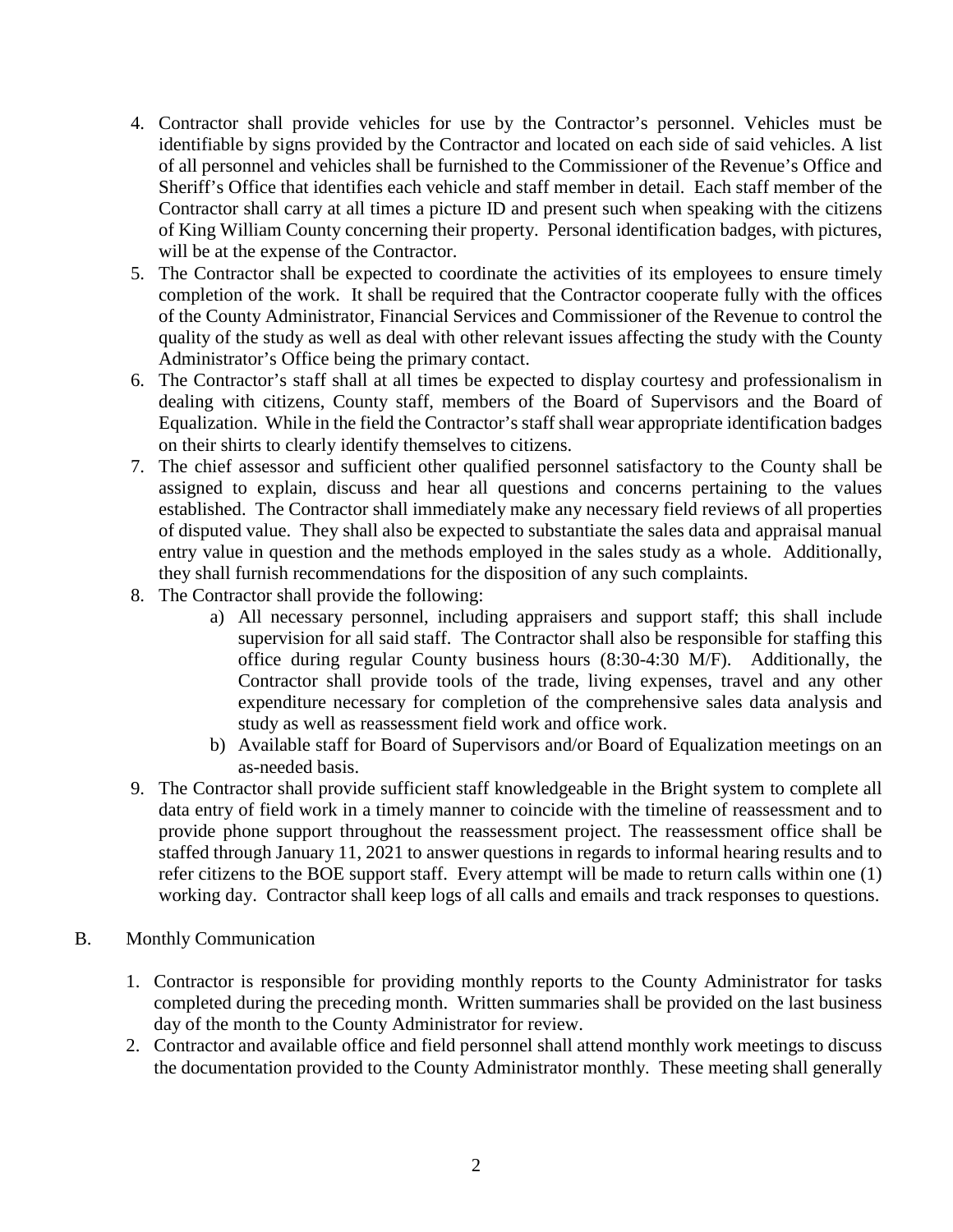- 4. Contractor shall provide vehicles for use by the Contractor's personnel. Vehicles must be identifiable by signs provided by the Contractor and located on each side of said vehicles. A list of all personnel and vehicles shall be furnished to the Commissioner of the Revenue's Office and Sheriff's Office that identifies each vehicle and staff member in detail. Each staff member of the Contractor shall carry at all times a picture ID and present such when speaking with the citizens of King William County concerning their property. Personal identification badges, with pictures, will be at the expense of the Contractor.
- 5. The Contractor shall be expected to coordinate the activities of its employees to ensure timely completion of the work. It shall be required that the Contractor cooperate fully with the offices of the County Administrator, Financial Services and Commissioner of the Revenue to control the quality of the study as well as deal with other relevant issues affecting the study with the County Administrator's Office being the primary contact.
- 6. The Contractor's staff shall at all times be expected to display courtesy and professionalism in dealing with citizens, County staff, members of the Board of Supervisors and the Board of Equalization. While in the field the Contractor's staff shall wear appropriate identification badges on their shirts to clearly identify themselves to citizens.
- 7. The chief assessor and sufficient other qualified personnel satisfactory to the County shall be assigned to explain, discuss and hear all questions and concerns pertaining to the values established. The Contractor shall immediately make any necessary field reviews of all properties of disputed value. They shall also be expected to substantiate the sales data and appraisal manual entry value in question and the methods employed in the sales study as a whole. Additionally, they shall furnish recommendations for the disposition of any such complaints.
- 8. The Contractor shall provide the following:
	- a) All necessary personnel, including appraisers and support staff; this shall include supervision for all said staff. The Contractor shall also be responsible for staffing this office during regular County business hours (8:30-4:30 M/F). Additionally, the Contractor shall provide tools of the trade, living expenses, travel and any other expenditure necessary for completion of the comprehensive sales data analysis and study as well as reassessment field work and office work.
	- b) Available staff for Board of Supervisors and/or Board of Equalization meetings on an as-needed basis.
- 9. The Contractor shall provide sufficient staff knowledgeable in the Bright system to complete all data entry of field work in a timely manner to coincide with the timeline of reassessment and to provide phone support throughout the reassessment project. The reassessment office shall be staffed through January 11, 2021 to answer questions in regards to informal hearing results and to refer citizens to the BOE support staff. Every attempt will be made to return calls within one (1) working day. Contractor shall keep logs of all calls and emails and track responses to questions.
- B. Monthly Communication
	- 1. Contractor is responsible for providing monthly reports to the County Administrator for tasks completed during the preceding month. Written summaries shall be provided on the last business day of the month to the County Administrator for review.
	- 2. Contractor and available office and field personnel shall attend monthly work meetings to discuss the documentation provided to the County Administrator monthly. These meeting shall generally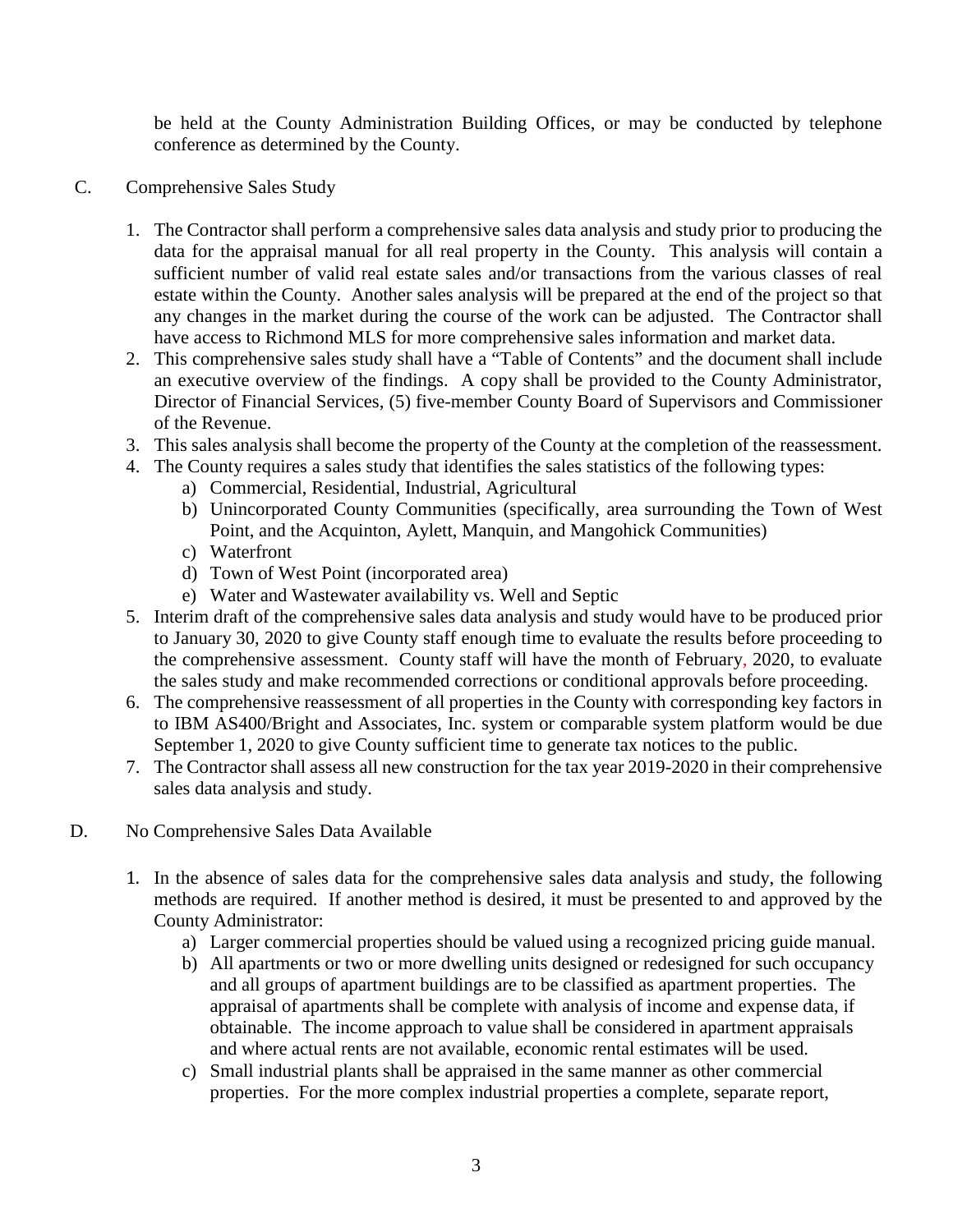be held at the County Administration Building Offices, or may be conducted by telephone conference as determined by the County.

- C. Comprehensive Sales Study
	- 1. The Contractor shall perform a comprehensive sales data analysis and study prior to producing the data for the appraisal manual for all real property in the County. This analysis will contain a sufficient number of valid real estate sales and/or transactions from the various classes of real estate within the County. Another sales analysis will be prepared at the end of the project so that any changes in the market during the course of the work can be adjusted. The Contractor shall have access to Richmond MLS for more comprehensive sales information and market data.
	- 2. This comprehensive sales study shall have a "Table of Contents" and the document shall include an executive overview of the findings. A copy shall be provided to the County Administrator, Director of Financial Services, (5) five-member County Board of Supervisors and Commissioner of the Revenue.
	- 3. This sales analysis shall become the property of the County at the completion of the reassessment.
	- 4. The County requires a sales study that identifies the sales statistics of the following types:
		- a) Commercial, Residential, Industrial, Agricultural
		- b) Unincorporated County Communities (specifically, area surrounding the Town of West Point, and the Acquinton, Aylett, Manquin, and Mangohick Communities)
		- c) Waterfront
		- d) Town of West Point (incorporated area)
		- e) Water and Wastewater availability vs. Well and Septic
	- 5. Interim draft of the comprehensive sales data analysis and study would have to be produced prior to January 30, 2020 to give County staff enough time to evaluate the results before proceeding to the comprehensive assessment. County staff will have the month of February, 2020, to evaluate the sales study and make recommended corrections or conditional approvals before proceeding.
	- 6. The comprehensive reassessment of all properties in the County with corresponding key factors in to IBM AS400/Bright and Associates, Inc. system or comparable system platform would be due September 1, 2020 to give County sufficient time to generate tax notices to the public.
	- 7. The Contractor shall assess all new construction for the tax year 2019-2020 in their comprehensive sales data analysis and study.
- D. No Comprehensive Sales Data Available
	- 1. In the absence of sales data for the comprehensive sales data analysis and study, the following methods are required. If another method is desired, it must be presented to and approved by the County Administrator:
		- a) Larger commercial properties should be valued using a recognized pricing guide manual.
		- b) All apartments or two or more dwelling units designed or redesigned for such occupancy and all groups of apartment buildings are to be classified as apartment properties. The appraisal of apartments shall be complete with analysis of income and expense data, if obtainable. The income approach to value shall be considered in apartment appraisals and where actual rents are not available, economic rental estimates will be used.
		- c) Small industrial plants shall be appraised in the same manner as other commercial properties. For the more complex industrial properties a complete, separate report,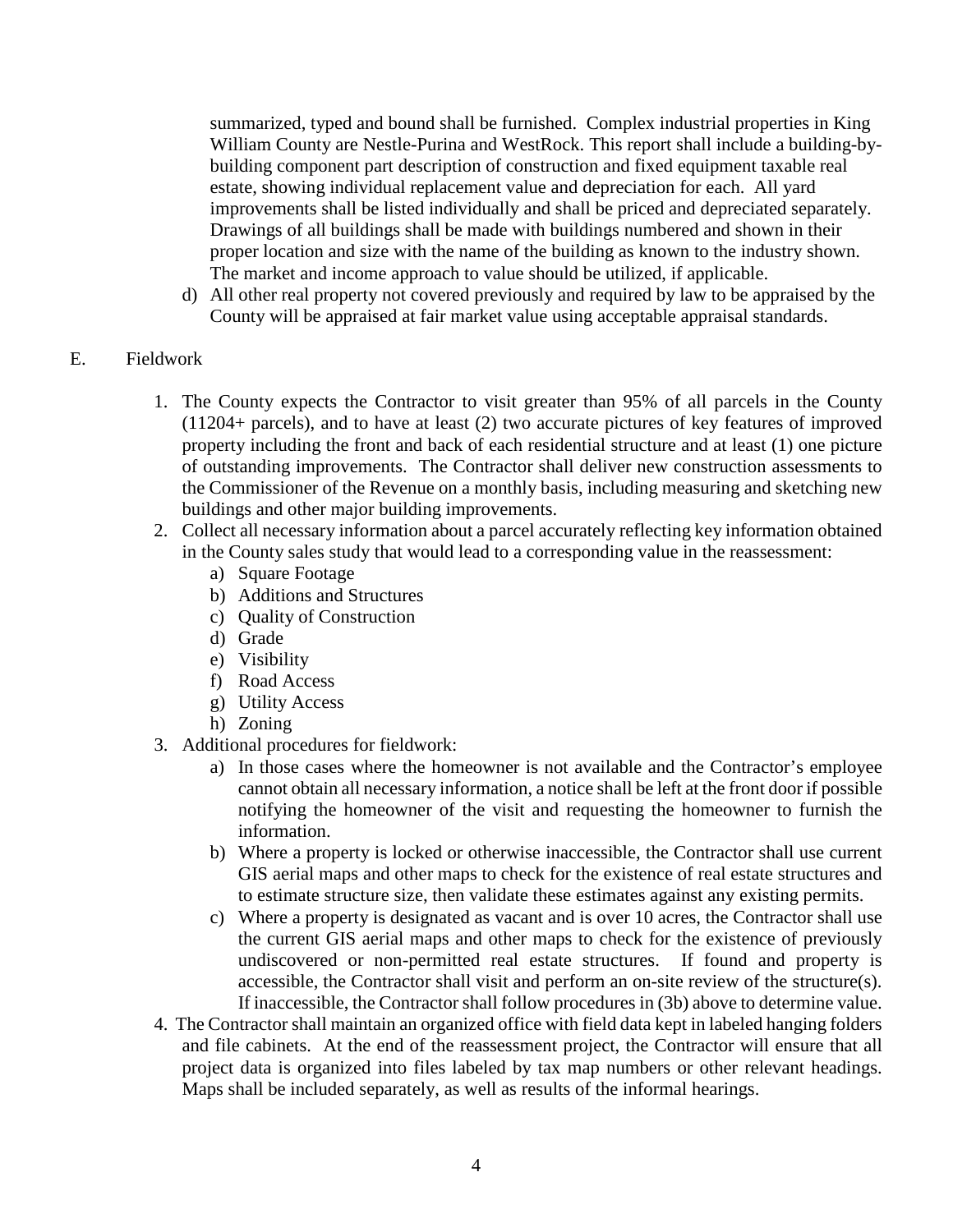summarized, typed and bound shall be furnished. Complex industrial properties in King William County are Nestle-Purina and WestRock. This report shall include a building-bybuilding component part description of construction and fixed equipment taxable real estate, showing individual replacement value and depreciation for each. All yard improvements shall be listed individually and shall be priced and depreciated separately. Drawings of all buildings shall be made with buildings numbered and shown in their proper location and size with the name of the building as known to the industry shown. The market and income approach to value should be utilized, if applicable.

d) All other real property not covered previously and required by law to be appraised by the County will be appraised at fair market value using acceptable appraisal standards.

### E. Fieldwork

- 1. The County expects the Contractor to visit greater than 95% of all parcels in the County (11204+ parcels), and to have at least (2) two accurate pictures of key features of improved property including the front and back of each residential structure and at least (1) one picture of outstanding improvements. The Contractor shall deliver new construction assessments to the Commissioner of the Revenue on a monthly basis, including measuring and sketching new buildings and other major building improvements.
- 2. Collect all necessary information about a parcel accurately reflecting key information obtained in the County sales study that would lead to a corresponding value in the reassessment:
	- a) Square Footage
	- b) Additions and Structures
	- c) Quality of Construction
	- d) Grade
	- e) Visibility
	- f) Road Access
	- g) Utility Access
	- h) Zoning
- 3. Additional procedures for fieldwork:
	- a) In those cases where the homeowner is not available and the Contractor's employee cannot obtain all necessary information, a notice shall be left at the front door if possible notifying the homeowner of the visit and requesting the homeowner to furnish the information.
	- b) Where a property is locked or otherwise inaccessible, the Contractor shall use current GIS aerial maps and other maps to check for the existence of real estate structures and to estimate structure size, then validate these estimates against any existing permits.
	- c) Where a property is designated as vacant and is over 10 acres, the Contractor shall use the current GIS aerial maps and other maps to check for the existence of previously undiscovered or non-permitted real estate structures. If found and property is accessible, the Contractor shall visit and perform an on-site review of the structure(s). If inaccessible, the Contractor shall follow procedures in (3b) above to determine value.
- 4. The Contractor shall maintain an organized office with field data kept in labeled hanging folders and file cabinets. At the end of the reassessment project, the Contractor will ensure that all project data is organized into files labeled by tax map numbers or other relevant headings. Maps shall be included separately, as well as results of the informal hearings.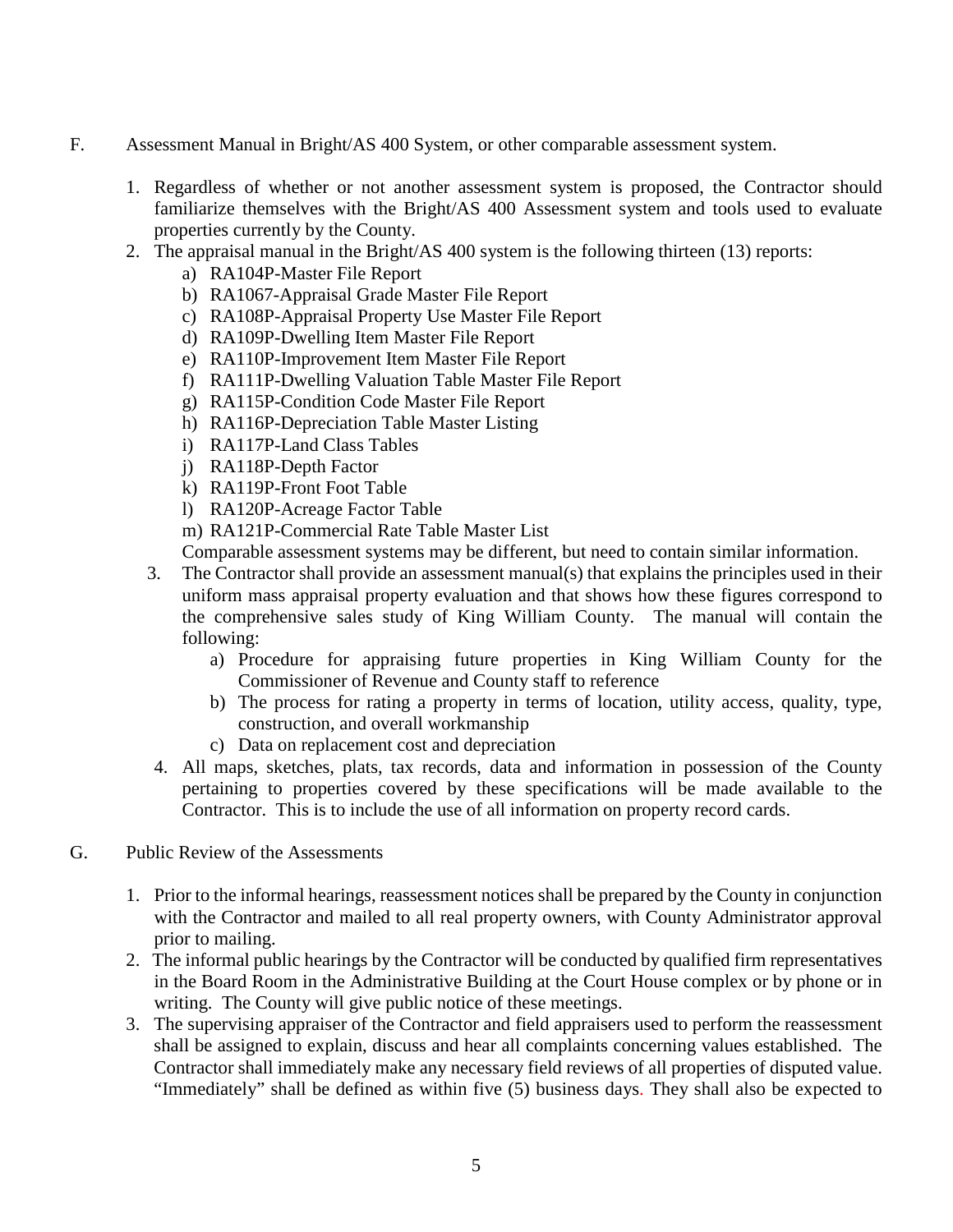- F. Assessment Manual in Bright/AS 400 System, or other comparable assessment system.
	- 1. Regardless of whether or not another assessment system is proposed, the Contractor should familiarize themselves with the Bright/AS 400 Assessment system and tools used to evaluate properties currently by the County.
	- 2. The appraisal manual in the Bright/AS 400 system is the following thirteen (13) reports:
		- a) RA104P-Master File Report
		- b) RA1067-Appraisal Grade Master File Report
		- c) RA108P-Appraisal Property Use Master File Report
		- d) RA109P-Dwelling Item Master File Report
		- e) RA110P-Improvement Item Master File Report
		- f) RA111P-Dwelling Valuation Table Master File Report
		- g) RA115P-Condition Code Master File Report
		- h) RA116P-Depreciation Table Master Listing
		- i) RA117P-Land Class Tables
		- j) RA118P-Depth Factor
		- k) RA119P-Front Foot Table
		- l) RA120P-Acreage Factor Table
		- m) RA121P-Commercial Rate Table Master List

Comparable assessment systems may be different, but need to contain similar information.

- 3. The Contractor shall provide an assessment manual(s) that explains the principles used in their uniform mass appraisal property evaluation and that shows how these figures correspond to the comprehensive sales study of King William County. The manual will contain the following:
	- a) Procedure for appraising future properties in King William County for the Commissioner of Revenue and County staff to reference
	- b) The process for rating a property in terms of location, utility access, quality, type, construction, and overall workmanship
	- c) Data on replacement cost and depreciation
- 4. All maps, sketches, plats, tax records, data and information in possession of the County pertaining to properties covered by these specifications will be made available to the Contractor. This is to include the use of all information on property record cards.
- G. Public Review of the Assessments
	- 1. Prior to the informal hearings, reassessment notices shall be prepared by the County in conjunction with the Contractor and mailed to all real property owners, with County Administrator approval prior to mailing.
	- 2. The informal public hearings by the Contractor will be conducted by qualified firm representatives in the Board Room in the Administrative Building at the Court House complex or by phone or in writing. The County will give public notice of these meetings.
	- 3. The supervising appraiser of the Contractor and field appraisers used to perform the reassessment shall be assigned to explain, discuss and hear all complaints concerning values established. The Contractor shall immediately make any necessary field reviews of all properties of disputed value. "Immediately" shall be defined as within five (5) business days. They shall also be expected to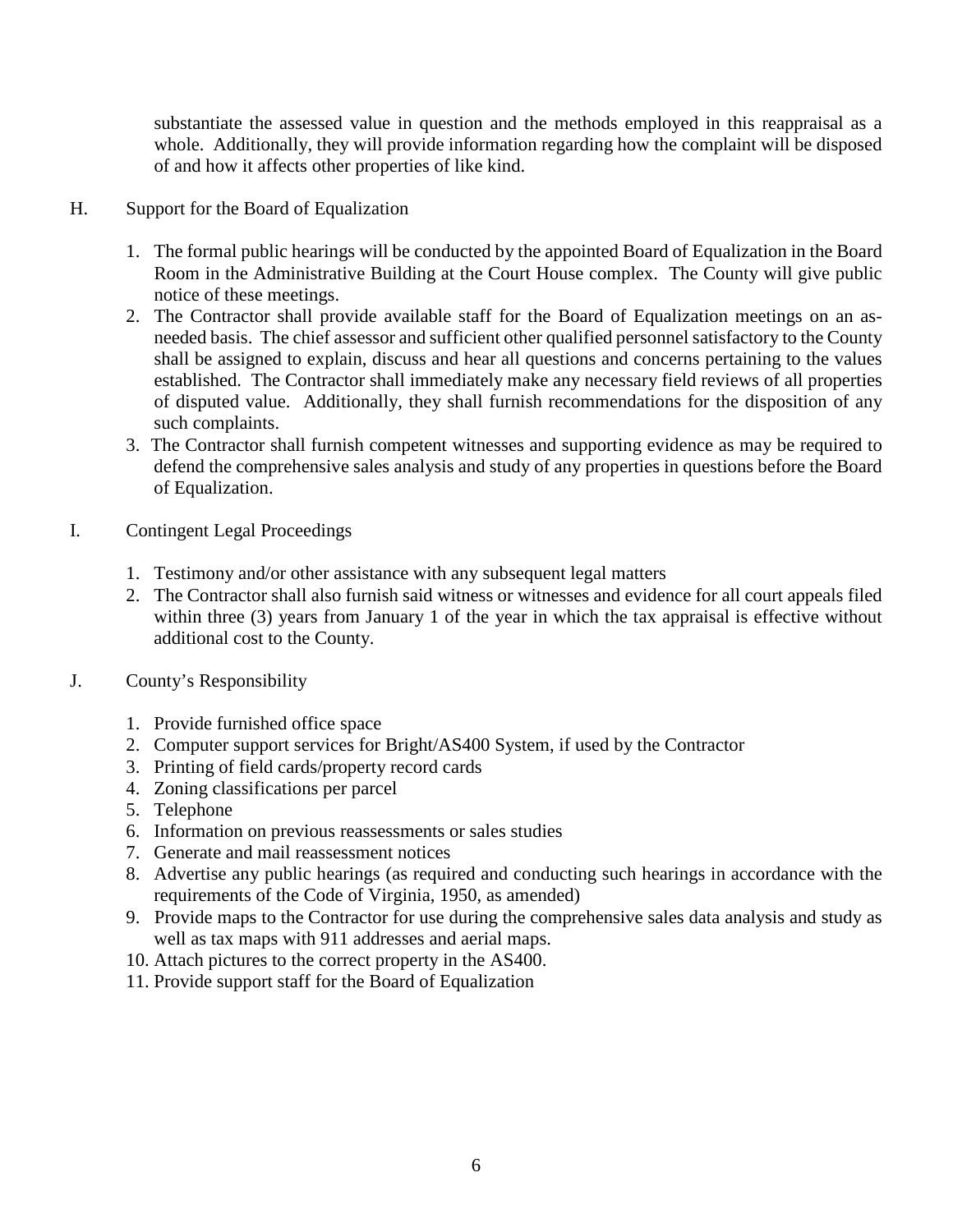substantiate the assessed value in question and the methods employed in this reappraisal as a whole. Additionally, they will provide information regarding how the complaint will be disposed of and how it affects other properties of like kind.

- H. Support for the Board of Equalization
	- 1. The formal public hearings will be conducted by the appointed Board of Equalization in the Board Room in the Administrative Building at the Court House complex. The County will give public notice of these meetings.
	- 2. The Contractor shall provide available staff for the Board of Equalization meetings on an asneeded basis. The chief assessor and sufficient other qualified personnel satisfactory to the County shall be assigned to explain, discuss and hear all questions and concerns pertaining to the values established. The Contractor shall immediately make any necessary field reviews of all properties of disputed value. Additionally, they shall furnish recommendations for the disposition of any such complaints.
	- 3. The Contractor shall furnish competent witnesses and supporting evidence as may be required to defend the comprehensive sales analysis and study of any properties in questions before the Board of Equalization.
- I. Contingent Legal Proceedings
	- 1. Testimony and/or other assistance with any subsequent legal matters
	- 2. The Contractor shall also furnish said witness or witnesses and evidence for all court appeals filed within three (3) years from January 1 of the year in which the tax appraisal is effective without additional cost to the County.
- J. County's Responsibility
	- 1. Provide furnished office space
	- 2. Computer support services for Bright/AS400 System, if used by the Contractor
	- 3. Printing of field cards/property record cards
	- 4. Zoning classifications per parcel
	- 5. Telephone
	- 6. Information on previous reassessments or sales studies
	- 7. Generate and mail reassessment notices
	- 8. Advertise any public hearings (as required and conducting such hearings in accordance with the requirements of the Code of Virginia, 1950, as amended)
	- 9. Provide maps to the Contractor for use during the comprehensive sales data analysis and study as well as tax maps with 911 addresses and aerial maps.
	- 10. Attach pictures to the correct property in the AS400.
	- 11. Provide support staff for the Board of Equalization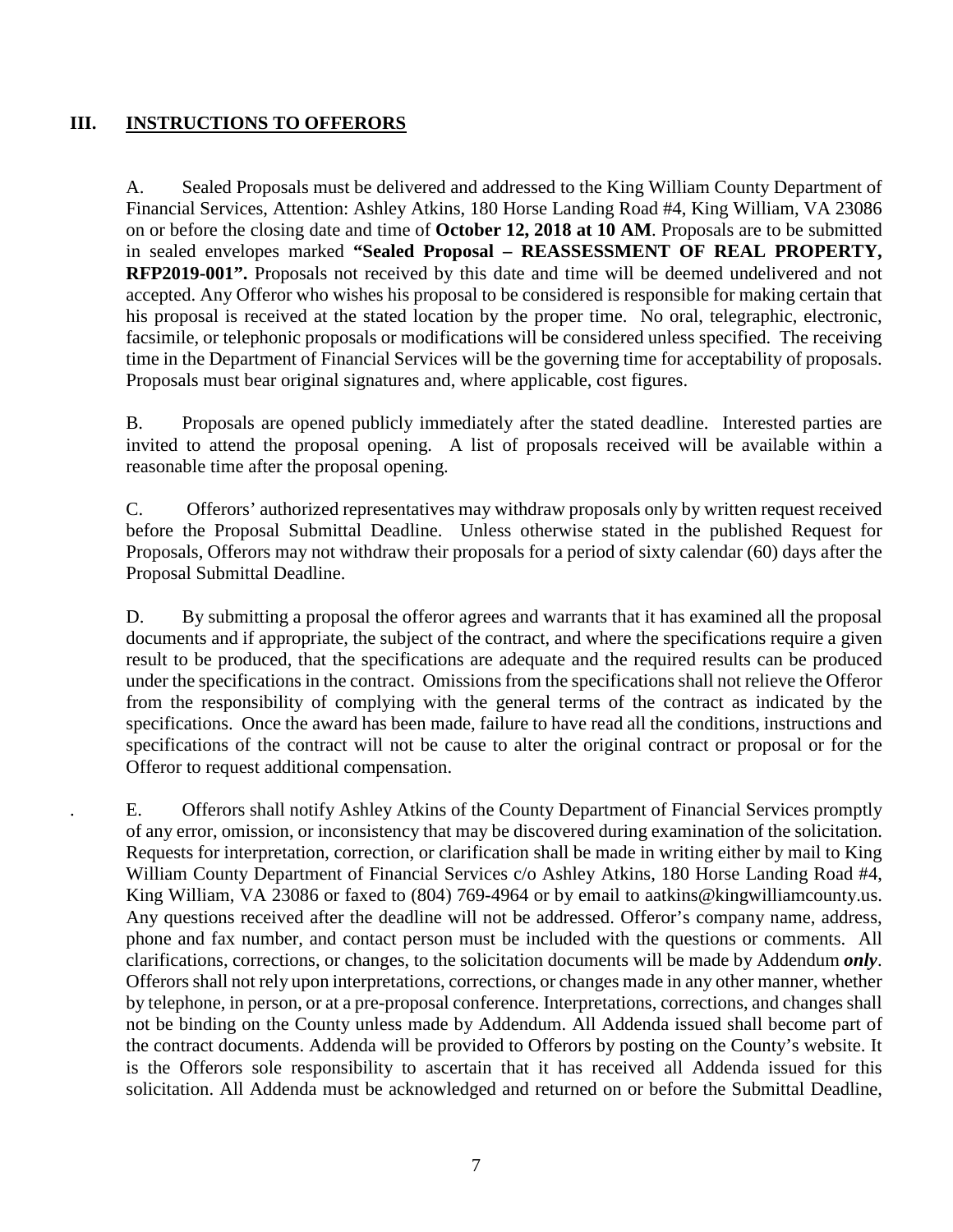### **III. INSTRUCTIONS TO OFFERORS**

A. Sealed Proposals must be delivered and addressed to the King William County Department of Financial Services, Attention: Ashley Atkins, 180 Horse Landing Road #4, King William, VA 23086 on or before the closing date and time of **October 12, 2018 at 10 AM**. Proposals are to be submitted in sealed envelopes marked **"Sealed Proposal – REASSESSMENT OF REAL PROPERTY, RFP2019-001".** Proposals not received by this date and time will be deemed undelivered and not accepted. Any Offeror who wishes his proposal to be considered is responsible for making certain that his proposal is received at the stated location by the proper time. No oral, telegraphic, electronic, facsimile, or telephonic proposals or modifications will be considered unless specified. The receiving time in the Department of Financial Services will be the governing time for acceptability of proposals. Proposals must bear original signatures and, where applicable, cost figures.

B. Proposals are opened publicly immediately after the stated deadline. Interested parties are invited to attend the proposal opening. A list of proposals received will be available within a reasonable time after the proposal opening.

C. Offerors' authorized representatives may withdraw proposals only by written request received before the Proposal Submittal Deadline. Unless otherwise stated in the published Request for Proposals, Offerors may not withdraw their proposals for a period of sixty calendar (60) days after the Proposal Submittal Deadline.

D. By submitting a proposal the offeror agrees and warrants that it has examined all the proposal documents and if appropriate, the subject of the contract, and where the specifications require a given result to be produced, that the specifications are adequate and the required results can be produced under the specifications in the contract. Omissions from the specifications shall not relieve the Offeror from the responsibility of complying with the general terms of the contract as indicated by the specifications. Once the award has been made, failure to have read all the conditions, instructions and specifications of the contract will not be cause to alter the original contract or proposal or for the Offeror to request additional compensation.

. E. Offerors shall notify Ashley Atkins of the County Department of Financial Services promptly of any error, omission, or inconsistency that may be discovered during examination of the solicitation. Requests for interpretation, correction, or clarification shall be made in writing either by mail to King William County Department of Financial Services c/o Ashley Atkins, 180 Horse Landing Road #4, King William, VA 23086 or faxed to (804) 769-4964 or by email to aatkins@kingwilliamcounty.us. Any questions received after the deadline will not be addressed. Offeror's company name, address, phone and fax number, and contact person must be included with the questions or comments. All clarifications, corrections, or changes, to the solicitation documents will be made by Addendum *only*. Offerors shall not rely upon interpretations, corrections, or changes made in any other manner, whether by telephone, in person, or at a pre-proposal conference. Interpretations, corrections, and changes shall not be binding on the County unless made by Addendum. All Addenda issued shall become part of the contract documents. Addenda will be provided to Offerors by posting on the County's website. It is the Offerors sole responsibility to ascertain that it has received all Addenda issued for this solicitation. All Addenda must be acknowledged and returned on or before the Submittal Deadline,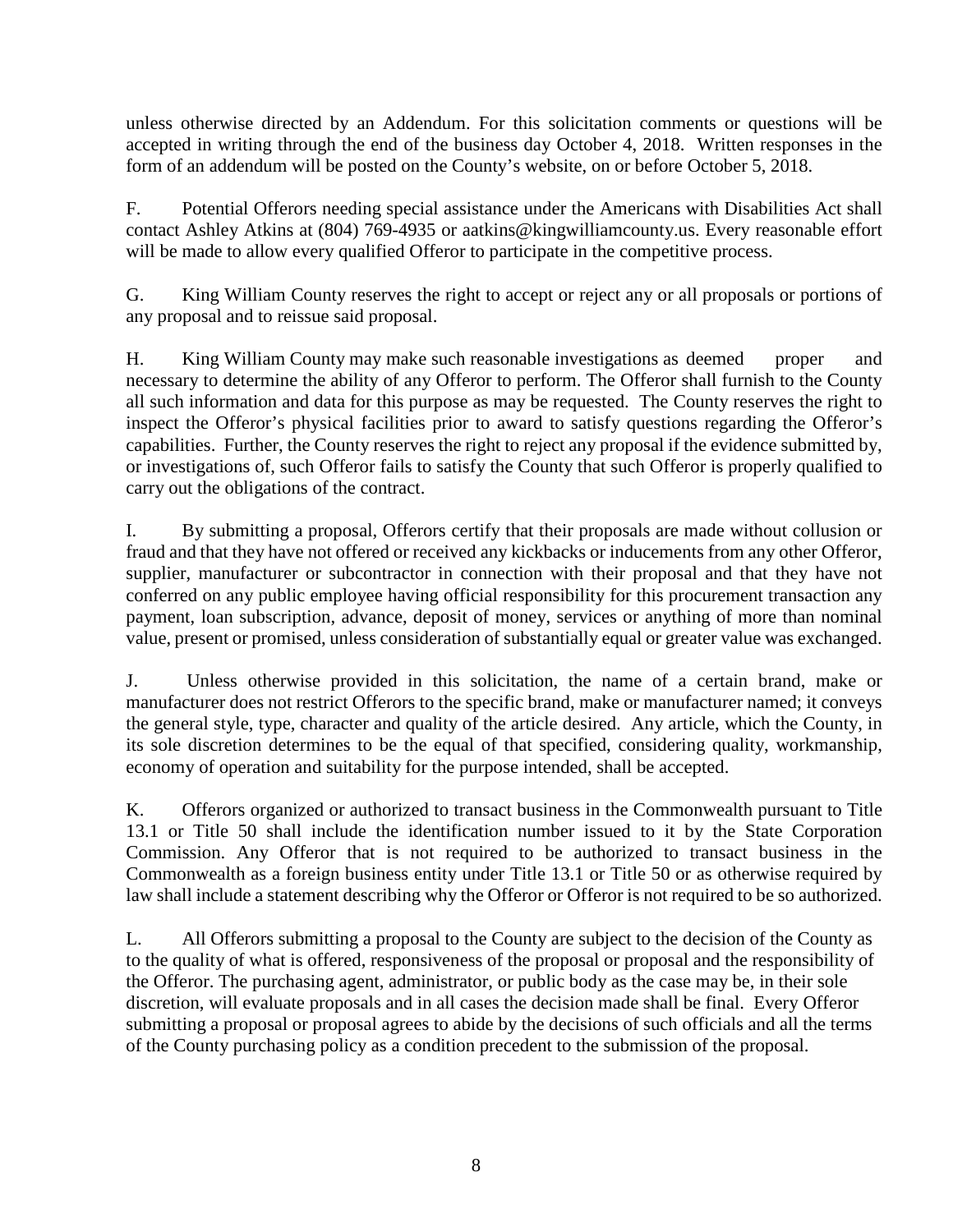unless otherwise directed by an Addendum. For this solicitation comments or questions will be accepted in writing through the end of the business day October 4, 2018. Written responses in the form of an addendum will be posted on the County's website, on or before October 5, 2018.

F. Potential Offerors needing special assistance under the Americans with Disabilities Act shall contact Ashley Atkins at (804) 769-4935 or aatkins@kingwilliamcounty.us. Every reasonable effort will be made to allow every qualified Offeror to participate in the competitive process.

G. King William County reserves the right to accept or reject any or all proposals or portions of any proposal and to reissue said proposal.

H. King William County may make such reasonable investigations as deemed proper and necessary to determine the ability of any Offeror to perform. The Offeror shall furnish to the County all such information and data for this purpose as may be requested. The County reserves the right to inspect the Offeror's physical facilities prior to award to satisfy questions regarding the Offeror's capabilities. Further, the County reserves the right to reject any proposal if the evidence submitted by, or investigations of, such Offeror fails to satisfy the County that such Offeror is properly qualified to carry out the obligations of the contract.

I. By submitting a proposal, Offerors certify that their proposals are made without collusion or fraud and that they have not offered or received any kickbacks or inducements from any other Offeror, supplier, manufacturer or subcontractor in connection with their proposal and that they have not conferred on any public employee having official responsibility for this procurement transaction any payment, loan subscription, advance, deposit of money, services or anything of more than nominal value, present or promised, unless consideration of substantially equal or greater value was exchanged.

J. Unless otherwise provided in this solicitation, the name of a certain brand, make or manufacturer does not restrict Offerors to the specific brand, make or manufacturer named; it conveys the general style, type, character and quality of the article desired. Any article, which the County, in its sole discretion determines to be the equal of that specified, considering quality, workmanship, economy of operation and suitability for the purpose intended, shall be accepted.

K. Offerors organized or authorized to transact business in the Commonwealth pursuant to Title 13.1 or Title 50 shall include the identification number issued to it by the State Corporation Commission. Any Offeror that is not required to be authorized to transact business in the Commonwealth as a foreign business entity under Title 13.1 or Title 50 or as otherwise required by law shall include a statement describing why the Offeror or Offeror is not required to be so authorized.

L. All Offerors submitting a proposal to the County are subject to the decision of the County as to the quality of what is offered, responsiveness of the proposal or proposal and the responsibility of the Offeror. The purchasing agent, administrator, or public body as the case may be, in their sole discretion, will evaluate proposals and in all cases the decision made shall be final. Every Offeror submitting a proposal or proposal agrees to abide by the decisions of such officials and all the terms of the County purchasing policy as a condition precedent to the submission of the proposal.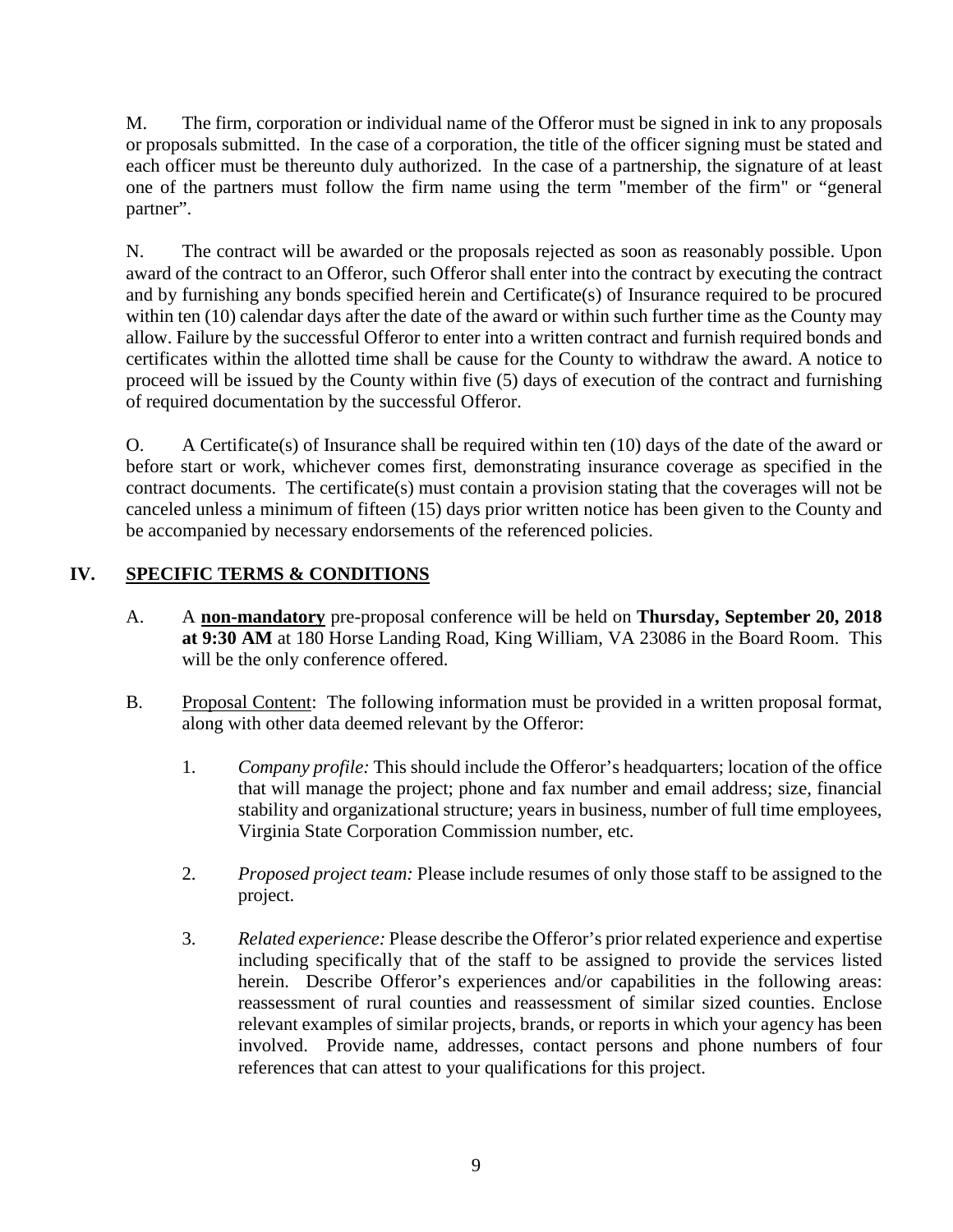M. The firm, corporation or individual name of the Offeror must be signed in ink to any proposals or proposals submitted. In the case of a corporation, the title of the officer signing must be stated and each officer must be thereunto duly authorized. In the case of a partnership, the signature of at least one of the partners must follow the firm name using the term "member of the firm" or "general partner".

N. The contract will be awarded or the proposals rejected as soon as reasonably possible. Upon award of the contract to an Offeror, such Offeror shall enter into the contract by executing the contract and by furnishing any bonds specified herein and Certificate(s) of Insurance required to be procured within ten (10) calendar days after the date of the award or within such further time as the County may allow. Failure by the successful Offeror to enter into a written contract and furnish required bonds and certificates within the allotted time shall be cause for the County to withdraw the award. A notice to proceed will be issued by the County within five (5) days of execution of the contract and furnishing of required documentation by the successful Offeror.

O. A Certificate(s) of Insurance shall be required within ten (10) days of the date of the award or before start or work, whichever comes first, demonstrating insurance coverage as specified in the contract documents. The certificate(s) must contain a provision stating that the coverages will not be canceled unless a minimum of fifteen (15) days prior written notice has been given to the County and be accompanied by necessary endorsements of the referenced policies.

# **IV. SPECIFIC TERMS & CONDITIONS**

- A. A **non-mandatory** pre-proposal conference will be held on **Thursday, September 20, 2018 at 9:30 AM** at 180 Horse Landing Road, King William, VA 23086 in the Board Room. This will be the only conference offered.
- B. Proposal Content: The following information must be provided in a written proposal format, along with other data deemed relevant by the Offeror:
	- 1. *Company profile:* This should include the Offeror's headquarters; location of the office that will manage the project; phone and fax number and email address; size, financial stability and organizational structure; years in business, number of full time employees, Virginia State Corporation Commission number, etc.
	- 2. *Proposed project team:* Please include resumes of only those staff to be assigned to the project.
	- 3. *Related experience:* Please describe the Offeror's prior related experience and expertise including specifically that of the staff to be assigned to provide the services listed herein. Describe Offeror's experiences and/or capabilities in the following areas: reassessment of rural counties and reassessment of similar sized counties. Enclose relevant examples of similar projects, brands, or reports in which your agency has been involved. Provide name, addresses, contact persons and phone numbers of four references that can attest to your qualifications for this project.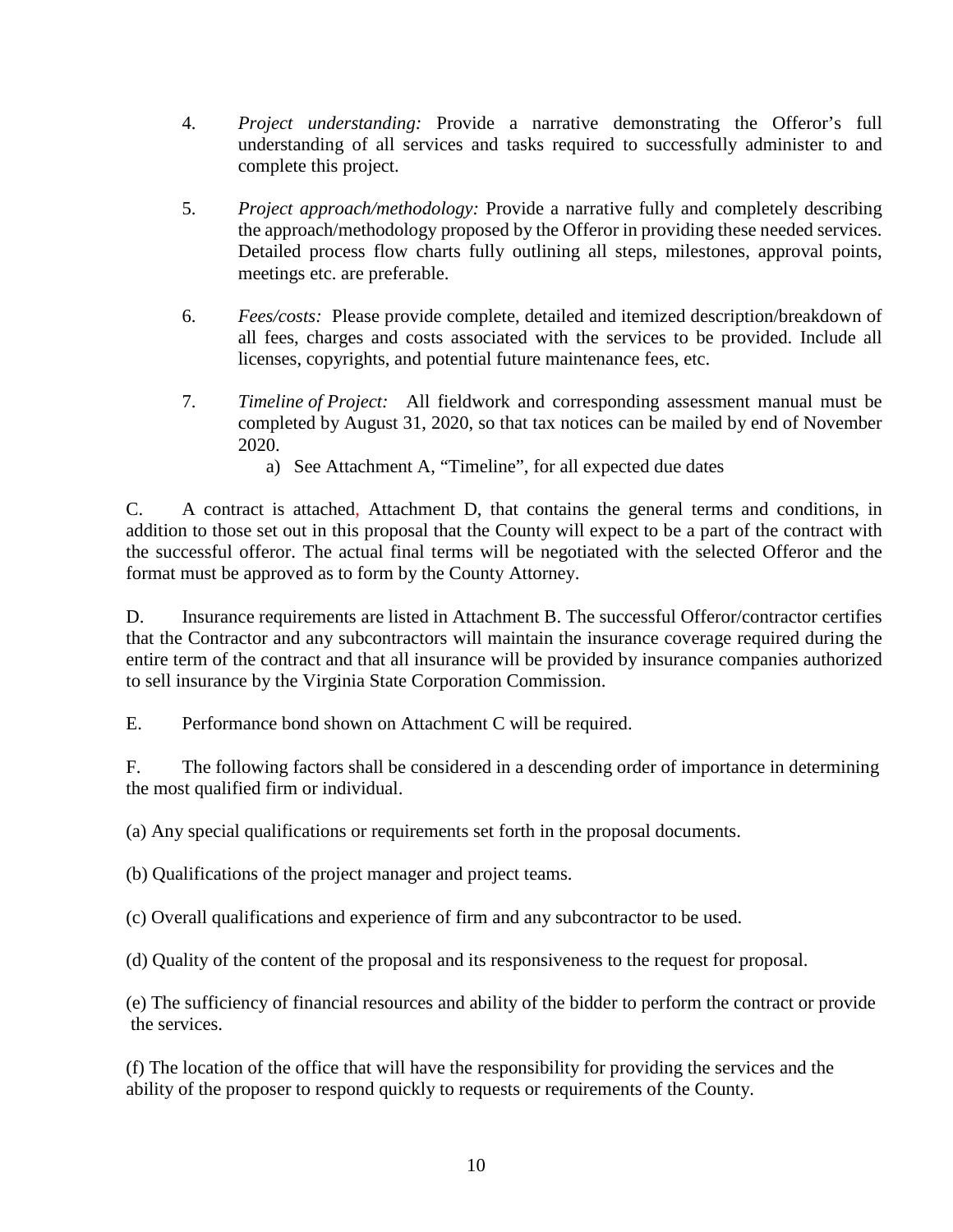- 4. *Project understanding:* Provide a narrative demonstrating the Offeror's full understanding of all services and tasks required to successfully administer to and complete this project.
- 5. *Project approach/methodology:* Provide a narrative fully and completely describing the approach/methodology proposed by the Offeror in providing these needed services. Detailed process flow charts fully outlining all steps, milestones, approval points, meetings etc. are preferable.
- 6. *Fees/costs:* Please provide complete, detailed and itemized description/breakdown of all fees, charges and costs associated with the services to be provided. Include all licenses, copyrights, and potential future maintenance fees, etc.
- 7. *Timeline of Project:* All fieldwork and corresponding assessment manual must be completed by August 31, 2020, so that tax notices can be mailed by end of November 2020.
	- a) See Attachment A, "Timeline", for all expected due dates

C. A contract is attached, Attachment D, that contains the general terms and conditions, in addition to those set out in this proposal that the County will expect to be a part of the contract with the successful offeror. The actual final terms will be negotiated with the selected Offeror and the format must be approved as to form by the County Attorney.

D. Insurance requirements are listed in Attachment B. The successful Offeror/contractor certifies that the Contractor and any subcontractors will maintain the insurance coverage required during the entire term of the contract and that all insurance will be provided by insurance companies authorized to sell insurance by the Virginia State Corporation Commission.

E. Performance bond shown on Attachment C will be required.

F. The following factors shall be considered in a descending order of importance in determining the most qualified firm or individual.

(a) Any special qualifications or requirements set forth in the proposal documents.

(b) Qualifications of the project manager and project teams.

(c) Overall qualifications and experience of firm and any subcontractor to be used.

(d) Quality of the content of the proposal and its responsiveness to the request for proposal.

(e) The sufficiency of financial resources and ability of the bidder to perform the contract or provide the services.

(f) The location of the office that will have the responsibility for providing the services and the ability of the proposer to respond quickly to requests or requirements of the County.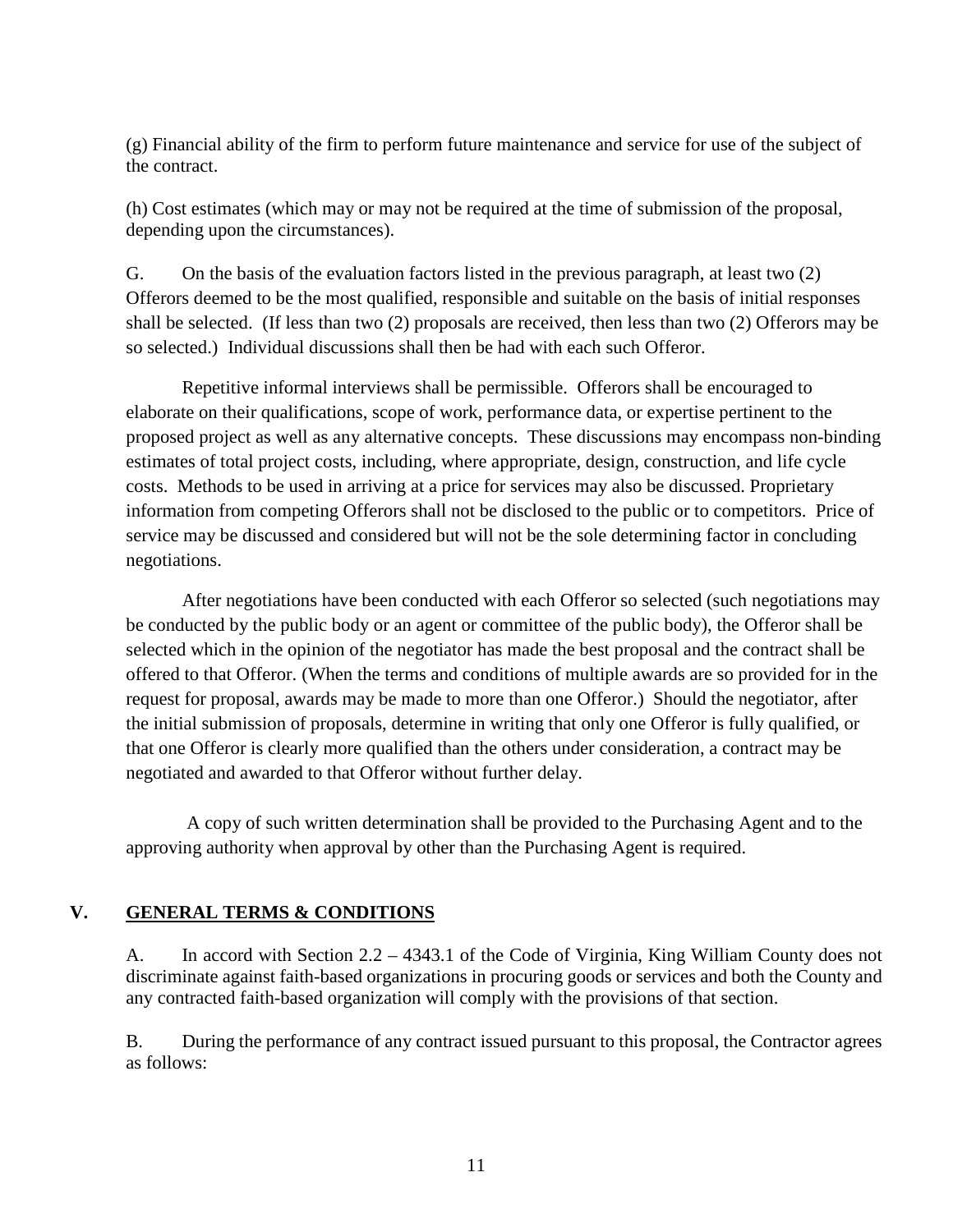(g) Financial ability of the firm to perform future maintenance and service for use of the subject of the contract.

(h) Cost estimates (which may or may not be required at the time of submission of the proposal, depending upon the circumstances).

G. On the basis of the evaluation factors listed in the previous paragraph, at least two (2) Offerors deemed to be the most qualified, responsible and suitable on the basis of initial responses shall be selected. (If less than two (2) proposals are received, then less than two (2) Offerors may be so selected.) Individual discussions shall then be had with each such Offeror.

Repetitive informal interviews shall be permissible. Offerors shall be encouraged to elaborate on their qualifications, scope of work, performance data, or expertise pertinent to the proposed project as well as any alternative concepts. These discussions may encompass non-binding estimates of total project costs, including, where appropriate, design, construction, and life cycle costs. Methods to be used in arriving at a price for services may also be discussed. Proprietary information from competing Offerors shall not be disclosed to the public or to competitors. Price of service may be discussed and considered but will not be the sole determining factor in concluding negotiations.

After negotiations have been conducted with each Offeror so selected (such negotiations may be conducted by the public body or an agent or committee of the public body), the Offeror shall be selected which in the opinion of the negotiator has made the best proposal and the contract shall be offered to that Offeror. (When the terms and conditions of multiple awards are so provided for in the request for proposal, awards may be made to more than one Offeror.) Should the negotiator, after the initial submission of proposals, determine in writing that only one Offeror is fully qualified, or that one Offeror is clearly more qualified than the others under consideration, a contract may be negotiated and awarded to that Offeror without further delay.

A copy of such written determination shall be provided to the Purchasing Agent and to the approving authority when approval by other than the Purchasing Agent is required.

### **V. GENERAL TERMS & CONDITIONS**

A. In accord with Section 2.2 – 4343.1 of the Code of Virginia, King William County does not discriminate against faith-based organizations in procuring goods or services and both the County and any contracted faith-based organization will comply with the provisions of that section.

B. During the performance of any contract issued pursuant to this proposal, the Contractor agrees as follows: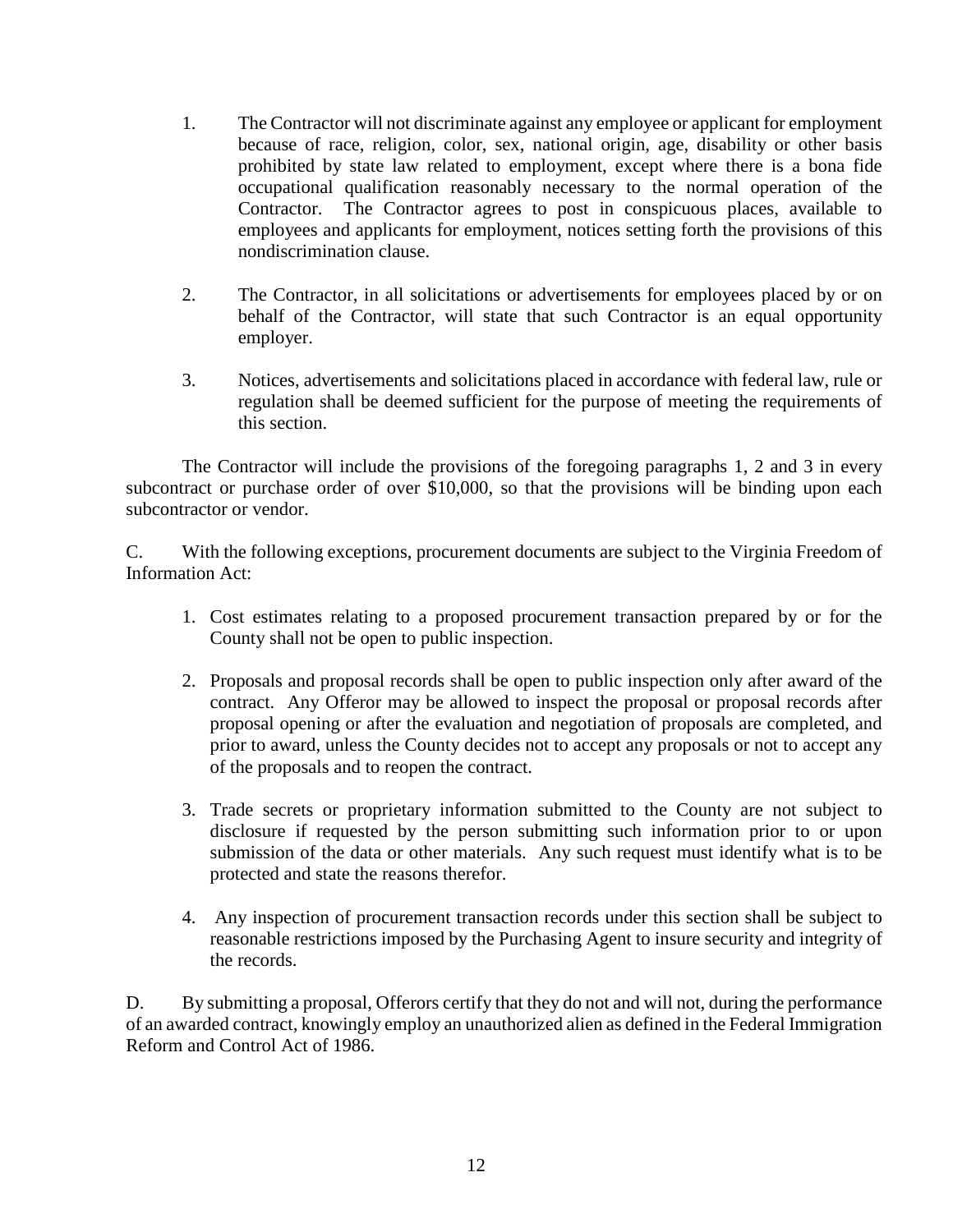- 1. The Contractor will not discriminate against any employee or applicant for employment because of race, religion, color, sex, national origin, age, disability or other basis prohibited by state law related to employment, except where there is a bona fide occupational qualification reasonably necessary to the normal operation of the Contractor. The Contractor agrees to post in conspicuous places, available to employees and applicants for employment, notices setting forth the provisions of this nondiscrimination clause.
- 2. The Contractor, in all solicitations or advertisements for employees placed by or on behalf of the Contractor, will state that such Contractor is an equal opportunity employer.
- 3. Notices, advertisements and solicitations placed in accordance with federal law, rule or regulation shall be deemed sufficient for the purpose of meeting the requirements of this section.

The Contractor will include the provisions of the foregoing paragraphs 1, 2 and 3 in every subcontract or purchase order of over \$10,000, so that the provisions will be binding upon each subcontractor or vendor.

C. With the following exceptions, procurement documents are subject to the Virginia Freedom of Information Act:

- 1. Cost estimates relating to a proposed procurement transaction prepared by or for the County shall not be open to public inspection.
- 2. Proposals and proposal records shall be open to public inspection only after award of the contract. Any Offeror may be allowed to inspect the proposal or proposal records after proposal opening or after the evaluation and negotiation of proposals are completed, and prior to award, unless the County decides not to accept any proposals or not to accept any of the proposals and to reopen the contract.
- 3. Trade secrets or proprietary information submitted to the County are not subject to disclosure if requested by the person submitting such information prior to or upon submission of the data or other materials. Any such request must identify what is to be protected and state the reasons therefor.
- 4. Any inspection of procurement transaction records under this section shall be subject to reasonable restrictions imposed by the Purchasing Agent to insure security and integrity of the records.

D. By submitting a proposal, Offerors certify that they do not and will not, during the performance of an awarded contract, knowingly employ an unauthorized alien as defined in the Federal Immigration Reform and Control Act of 1986.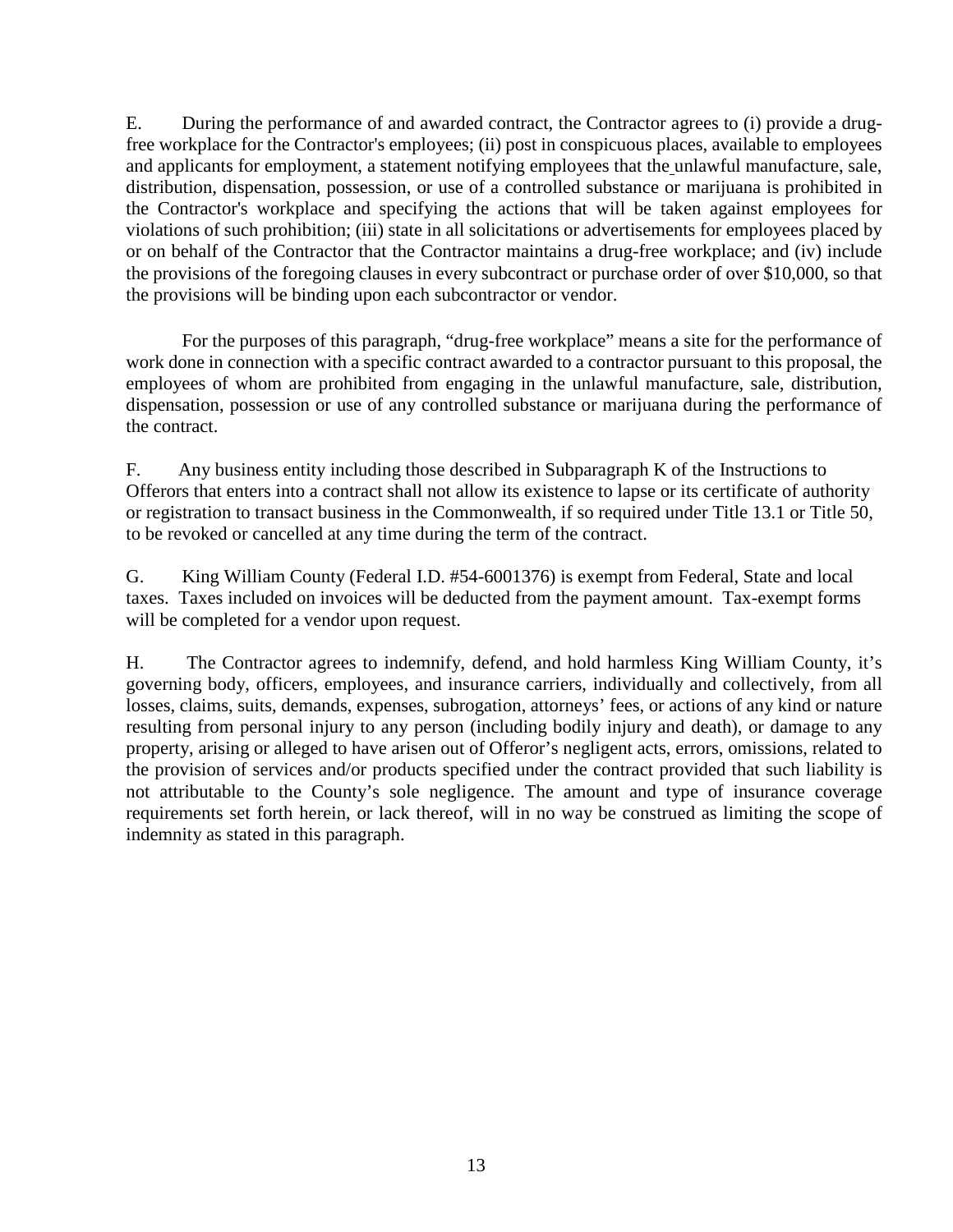E. During the performance of and awarded contract, the Contractor agrees to (i) provide a drugfree workplace for the Contractor's employees; (ii) post in conspicuous places, available to employees and applicants for employment, a statement notifying employees that the unlawful manufacture, sale, distribution, dispensation, possession, or use of a controlled substance or marijuana is prohibited in the Contractor's workplace and specifying the actions that will be taken against employees for violations of such prohibition; (iii) state in all solicitations or advertisements for employees placed by or on behalf of the Contractor that the Contractor maintains a drug-free workplace; and (iv) include the provisions of the foregoing clauses in every subcontract or purchase order of over \$10,000, so that the provisions will be binding upon each subcontractor or vendor.

For the purposes of this paragraph, "drug-free workplace" means a site for the performance of work done in connection with a specific contract awarded to a contractor pursuant to this proposal, the employees of whom are prohibited from engaging in the unlawful manufacture, sale, distribution, dispensation, possession or use of any controlled substance or marijuana during the performance of the contract.

F. Any business entity including those described in Subparagraph K of the Instructions to Offerors that enters into a contract shall not allow its existence to lapse or its certificate of authority or registration to transact business in the Commonwealth, if so required under Title 13.1 or Title 50, to be revoked or cancelled at any time during the term of the contract.

G. King William County (Federal I.D. #54-6001376) is exempt from Federal, State and local taxes. Taxes included on invoices will be deducted from the payment amount. Tax-exempt forms will be completed for a vendor upon request.

H. The Contractor agrees to indemnify, defend, and hold harmless King William County, it's governing body, officers, employees, and insurance carriers, individually and collectively, from all losses, claims, suits, demands, expenses, subrogation, attorneys' fees, or actions of any kind or nature resulting from personal injury to any person (including bodily injury and death), or damage to any property, arising or alleged to have arisen out of Offeror's negligent acts, errors, omissions, related to the provision of services and/or products specified under the contract provided that such liability is not attributable to the County's sole negligence. The amount and type of insurance coverage requirements set forth herein, or lack thereof, will in no way be construed as limiting the scope of indemnity as stated in this paragraph.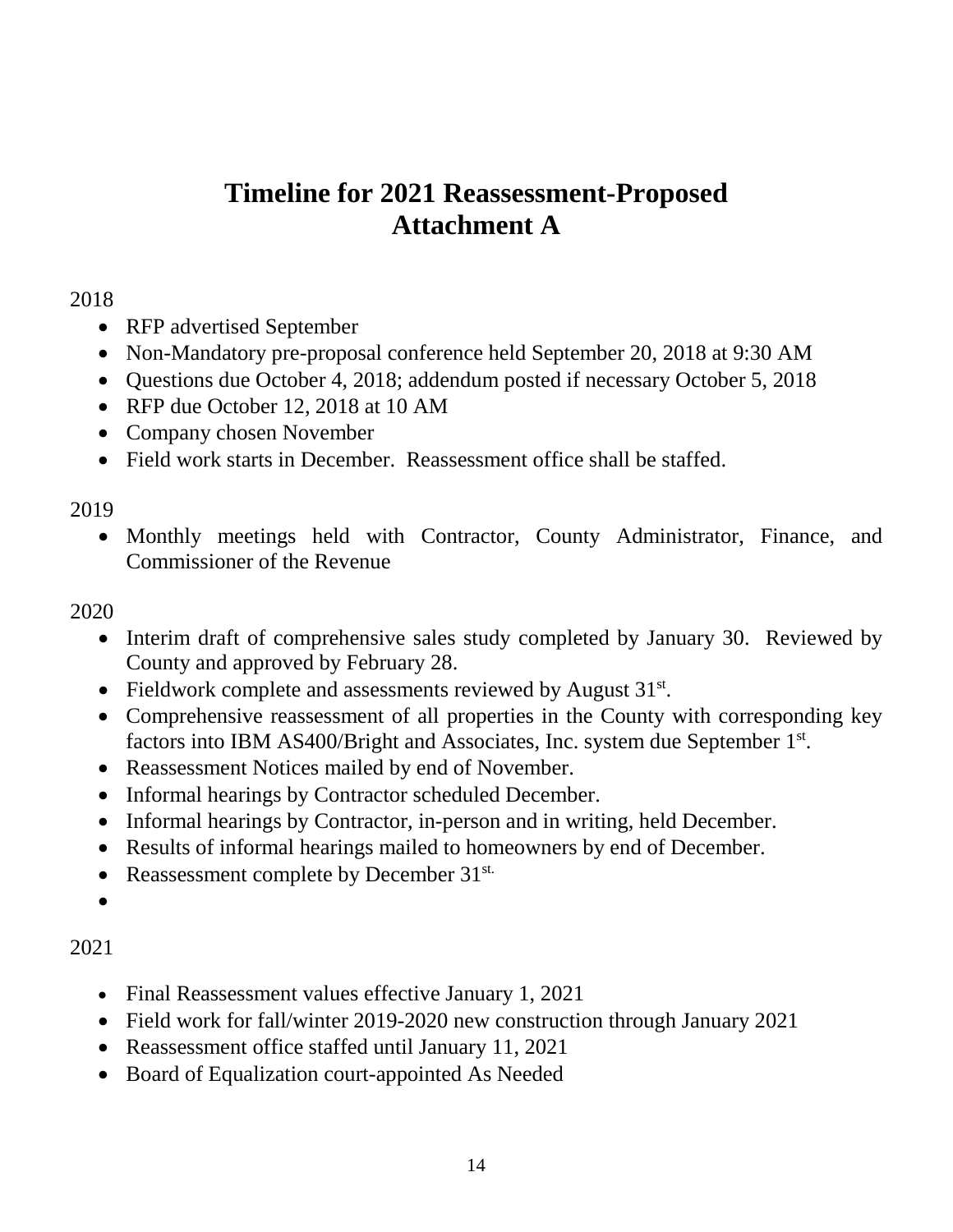# **Timeline for 2021 Reassessment-Proposed Attachment A**

# 2018

- RFP advertised September
- Non-Mandatory pre-proposal conference held September 20, 2018 at 9:30 AM
- Questions due October 4, 2018; addendum posted if necessary October 5, 2018
- RFP due October 12, 2018 at 10 AM
- Company chosen November
- Field work starts in December. Reassessment office shall be staffed.

# 2019

• Monthly meetings held with Contractor, County Administrator, Finance, and Commissioner of the Revenue

# 2020

- Interim draft of comprehensive sales study completed by January 30. Reviewed by County and approved by February 28.
- Fieldwork complete and assessments reviewed by August  $31<sup>st</sup>$ .
- Comprehensive reassessment of all properties in the County with corresponding key factors into IBM AS400/Bright and Associates, Inc. system due September 1st.
- Reassessment Notices mailed by end of November.
- Informal hearings by Contractor scheduled December.
- Informal hearings by Contractor, in-person and in writing, held December.
- Results of informal hearings mailed to homeowners by end of December.
- Reassessment complete by December 31<sup>st.</sup>
- •

# 2021

- Final Reassessment values effective January 1, 2021
- Field work for fall/winter 2019-2020 new construction through January 2021
- Reassessment office staffed until January 11, 2021
- Board of Equalization court-appointed As Needed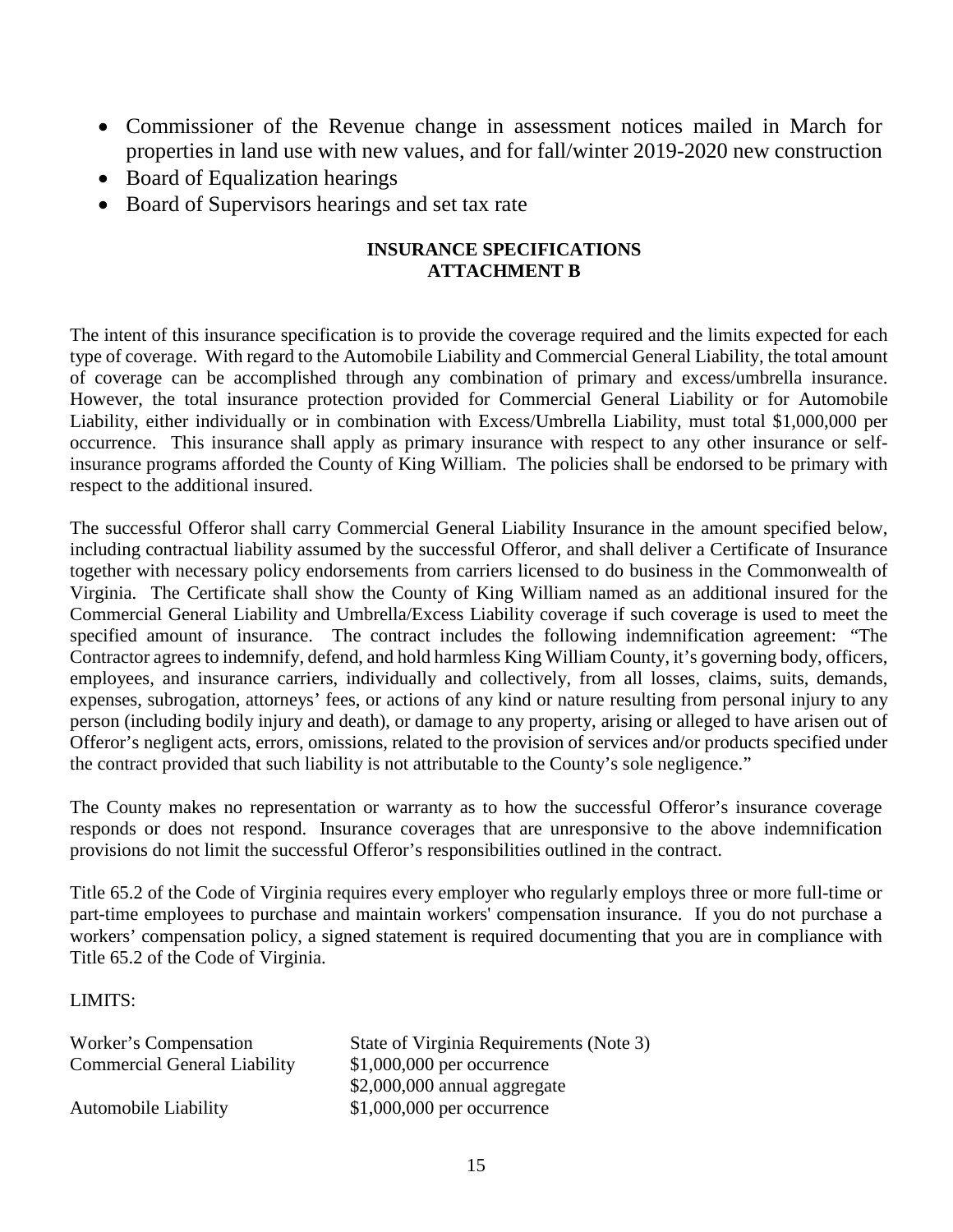- Commissioner of the Revenue change in assessment notices mailed in March for properties in land use with new values, and for fall/winter 2019-2020 new construction
- Board of Equalization hearings
- Board of Supervisors hearings and set tax rate

## **INSURANCE SPECIFICATIONS ATTACHMENT B**

The intent of this insurance specification is to provide the coverage required and the limits expected for each type of coverage. With regard to the Automobile Liability and Commercial General Liability, the total amount of coverage can be accomplished through any combination of primary and excess/umbrella insurance. However, the total insurance protection provided for Commercial General Liability or for Automobile Liability, either individually or in combination with Excess/Umbrella Liability, must total \$1,000,000 per occurrence. This insurance shall apply as primary insurance with respect to any other insurance or selfinsurance programs afforded the County of King William. The policies shall be endorsed to be primary with respect to the additional insured.

The successful Offeror shall carry Commercial General Liability Insurance in the amount specified below, including contractual liability assumed by the successful Offeror, and shall deliver a Certificate of Insurance together with necessary policy endorsements from carriers licensed to do business in the Commonwealth of Virginia. The Certificate shall show the County of King William named as an additional insured for the Commercial General Liability and Umbrella/Excess Liability coverage if such coverage is used to meet the specified amount of insurance. The contract includes the following indemnification agreement: "The Contractor agrees to indemnify, defend, and hold harmless King William County, it's governing body, officers, employees, and insurance carriers, individually and collectively, from all losses, claims, suits, demands, expenses, subrogation, attorneys' fees, or actions of any kind or nature resulting from personal injury to any person (including bodily injury and death), or damage to any property, arising or alleged to have arisen out of Offeror's negligent acts, errors, omissions, related to the provision of services and/or products specified under the contract provided that such liability is not attributable to the County's sole negligence."

The County makes no representation or warranty as to how the successful Offeror's insurance coverage responds or does not respond. Insurance coverages that are unresponsive to the above indemnification provisions do not limit the successful Offeror's responsibilities outlined in the contract.

Title 65.2 of the Code of Virginia requires every employer who regularly employs three or more full-time or part-time employees to purchase and maintain workers' compensation insurance. If you do not purchase a workers' compensation policy, a signed statement is required documenting that you are in compliance with Title 65.2 of the Code of Virginia.

### LIMITS:

| Worker's Compensation               | State of Virginia Requirements (Note 3) |
|-------------------------------------|-----------------------------------------|
| <b>Commercial General Liability</b> | $$1,000,000$ per occurrence             |
|                                     | $$2,000,000$ annual aggregate           |
| <b>Automobile Liability</b>         | $$1,000,000$ per occurrence             |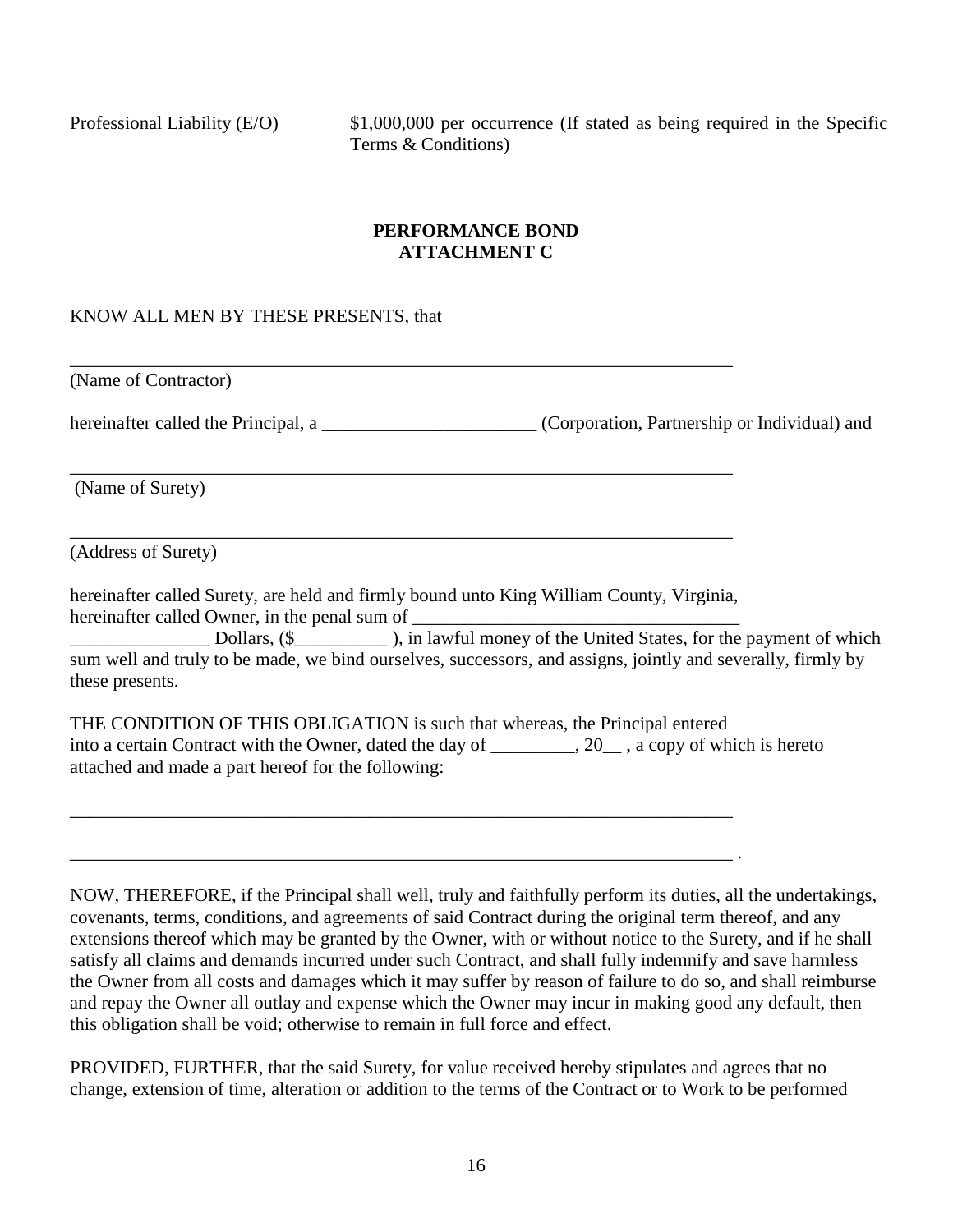Professional Liability (E/O) \$1,000,000 per occurrence (If stated as being required in the Specific Terms & Conditions)

## **PERFORMANCE BOND ATTACHMENT C**

## KNOW ALL MEN BY THESE PRESENTS, that

(Name of Contractor)

hereinafter called the Principal, a \_\_\_\_\_\_\_\_\_\_\_\_\_\_\_\_\_\_\_\_\_\_\_\_\_ (Corporation, Partnership or Individual) and

(Name of Surety)

(Address of Surety)

hereinafter called Surety, are held and firmly bound unto King William County, Virginia, hereinafter called Owner, in the penal sum of

\_\_\_\_\_\_\_\_\_\_\_\_\_\_\_\_\_\_\_\_\_\_\_\_\_\_\_\_\_\_\_\_\_\_\_\_\_\_\_\_\_\_\_\_\_\_\_\_\_\_\_\_\_\_\_\_\_\_\_\_\_\_\_\_\_\_\_\_\_\_\_

\_\_\_\_\_\_\_\_\_\_\_\_\_\_\_\_\_\_\_\_\_\_\_\_\_\_\_\_\_\_\_\_\_\_\_\_\_\_\_\_\_\_\_\_\_\_\_\_\_\_\_\_\_\_\_\_\_\_\_\_\_\_\_\_\_\_\_\_\_\_\_ .

\_\_\_\_\_\_\_\_\_\_\_\_\_\_\_\_\_\_\_\_\_\_\_\_\_\_\_\_\_\_\_\_\_\_\_\_\_\_\_\_\_\_\_\_\_\_\_\_\_\_\_\_\_\_\_\_\_\_\_\_\_\_\_\_\_\_\_\_\_\_\_

\_\_\_\_\_\_\_\_\_\_\_\_\_\_\_\_\_\_\_\_\_\_\_\_\_\_\_\_\_\_\_\_\_\_\_\_\_\_\_\_\_\_\_\_\_\_\_\_\_\_\_\_\_\_\_\_\_\_\_\_\_\_\_\_\_\_\_\_\_\_\_

\_\_\_\_\_\_\_\_\_\_\_\_\_\_\_\_\_\_\_\_\_\_\_\_\_\_\_\_\_\_\_\_\_\_\_\_\_\_\_\_\_\_\_\_\_\_\_\_\_\_\_\_\_\_\_\_\_\_\_\_\_\_\_\_\_\_\_\_\_\_\_

\_\_\_\_\_\_\_\_\_\_\_\_\_\_\_ Dollars, (\$\_\_\_\_\_\_\_\_\_\_ ), in lawful money of the United States, for the payment of which sum well and truly to be made, we bind ourselves, successors, and assigns, jointly and severally, firmly by these presents.

THE CONDITION OF THIS OBLIGATION is such that whereas, the Principal entered into a certain Contract with the Owner, dated the day of \_\_\_\_\_\_\_\_\_, 20\_\_ , a copy of which is hereto attached and made a part hereof for the following:

NOW, THEREFORE, if the Principal shall well, truly and faithfully perform its duties, all the undertakings, covenants, terms, conditions, and agreements of said Contract during the original term thereof, and any extensions thereof which may be granted by the Owner, with or without notice to the Surety, and if he shall satisfy all claims and demands incurred under such Contract, and shall fully indemnify and save harmless the Owner from all costs and damages which it may suffer by reason of failure to do so, and shall reimburse and repay the Owner all outlay and expense which the Owner may incur in making good any default, then this obligation shall be void; otherwise to remain in full force and effect.

PROVIDED, FURTHER, that the said Surety, for value received hereby stipulates and agrees that no change, extension of time, alteration or addition to the terms of the Contract or to Work to be performed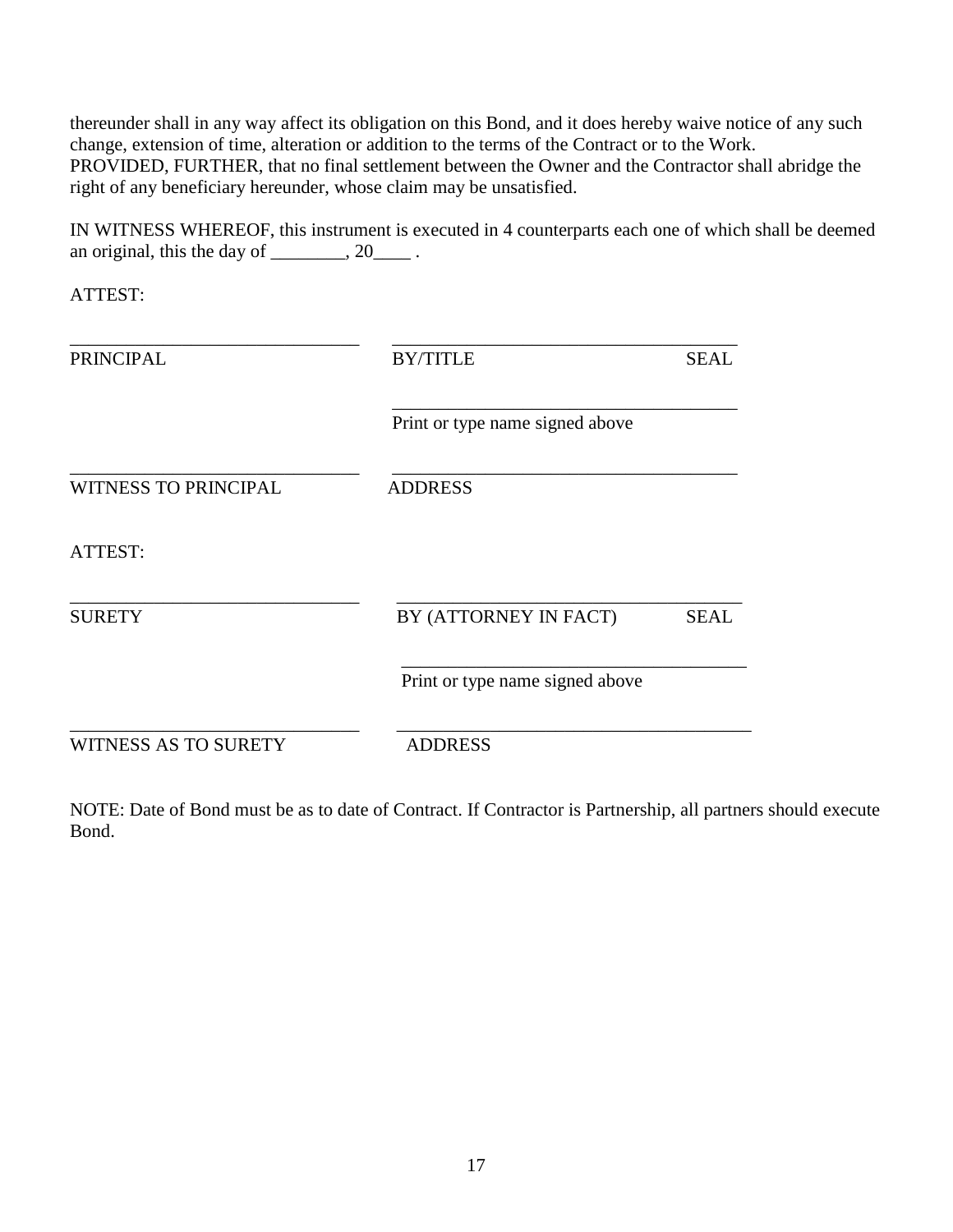thereunder shall in any way affect its obligation on this Bond, and it does hereby waive notice of any such change, extension of time, alteration or addition to the terms of the Contract or to the Work. PROVIDED, FURTHER, that no final settlement between the Owner and the Contractor shall abridge the right of any beneficiary hereunder, whose claim may be unsatisfied.

IN WITNESS WHEREOF, this instrument is executed in 4 counterparts each one of which shall be deemed an original, this the day of  $\_\_\_\_\_$ , 20 $\_\_\_\_\$ .

ATTEST:

| <b>PRINCIPAL</b>            | <b>BY/TITLE</b>                 | <b>SEAL</b> |
|-----------------------------|---------------------------------|-------------|
|                             | Print or type name signed above |             |
| <b>WITNESS TO PRINCIPAL</b> | <b>ADDRESS</b>                  |             |
| ATTEST:                     |                                 |             |
| <b>SURETY</b>               | BY (ATTORNEY IN FACT)           | <b>SEAL</b> |
|                             | Print or type name signed above |             |
| <b>WITNESS AS TO SURETY</b> | <b>ADDRESS</b>                  |             |

NOTE: Date of Bond must be as to date of Contract. If Contractor is Partnership, all partners should execute Bond.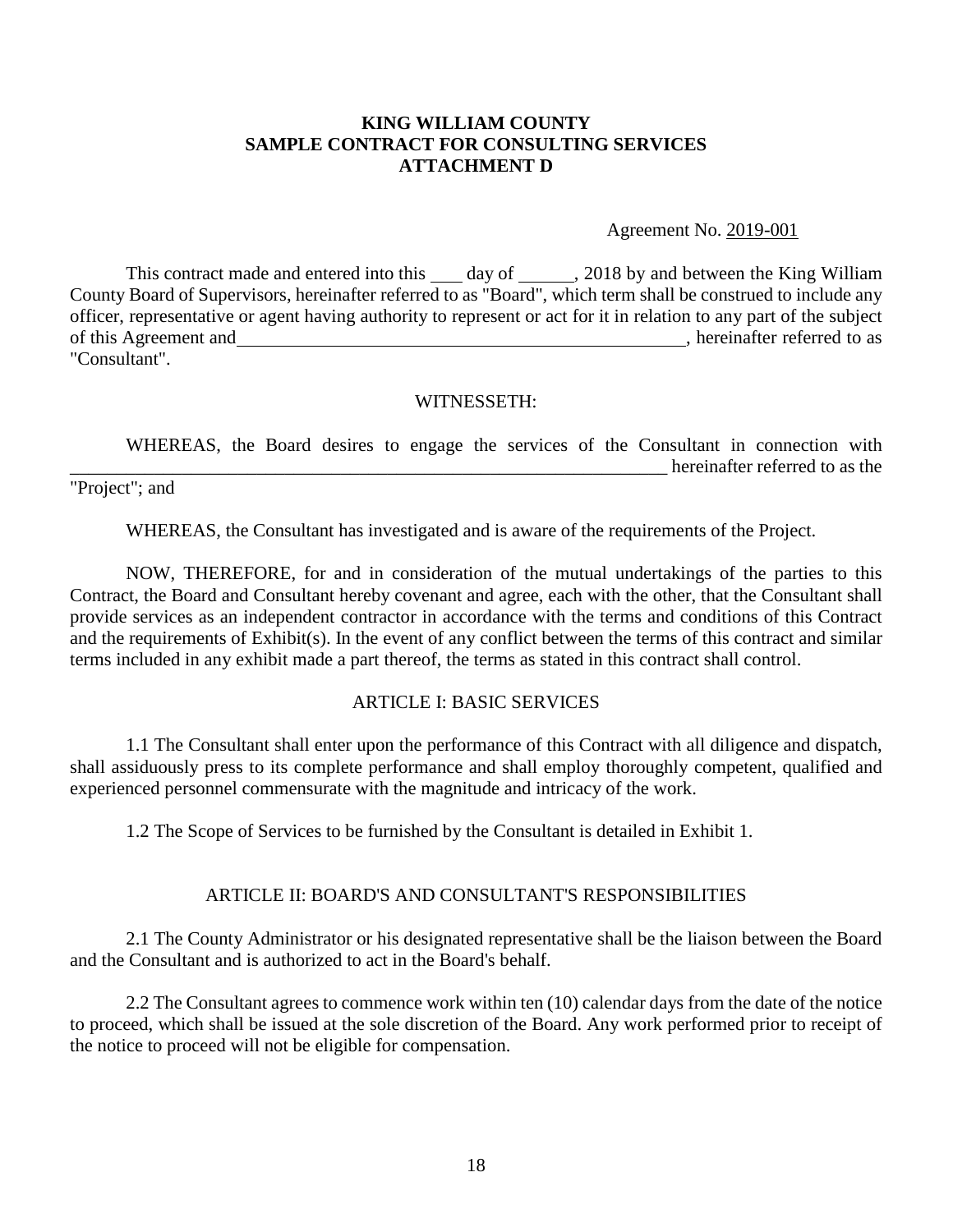#### **KING WILLIAM COUNTY SAMPLE CONTRACT FOR CONSULTING SERVICES ATTACHMENT D**

Agreement No. 2019-001

This contract made and entered into this day of , 2018 by and between the King William County Board of Supervisors, hereinafter referred to as "Board", which term shall be construed to include any officer, representative or agent having authority to represent or act for it in relation to any part of the subject of this Agreement and , hereinafter referred to as "Consultant".

#### WITNESSETH:

WHEREAS, the Board desires to engage the services of the Consultant in connection with hereinafter referred to as the

"Project"; and

WHEREAS, the Consultant has investigated and is aware of the requirements of the Project.

NOW, THEREFORE, for and in consideration of the mutual undertakings of the parties to this Contract, the Board and Consultant hereby covenant and agree, each with the other, that the Consultant shall provide services as an independent contractor in accordance with the terms and conditions of this Contract and the requirements of Exhibit(s). In the event of any conflict between the terms of this contract and similar terms included in any exhibit made a part thereof, the terms as stated in this contract shall control.

#### ARTICLE I: BASIC SERVICES

1.1 The Consultant shall enter upon the performance of this Contract with all diligence and dispatch, shall assiduously press to its complete performance and shall employ thoroughly competent, qualified and experienced personnel commensurate with the magnitude and intricacy of the work.

1.2 The Scope of Services to be furnished by the Consultant is detailed in Exhibit 1.

#### ARTICLE II: BOARD'S AND CONSULTANT'S RESPONSIBILITIES

2.1 The County Administrator or his designated representative shall be the liaison between the Board and the Consultant and is authorized to act in the Board's behalf.

2.2 The Consultant agrees to commence work within ten (10) calendar days from the date of the notice to proceed, which shall be issued at the sole discretion of the Board. Any work performed prior to receipt of the notice to proceed will not be eligible for compensation.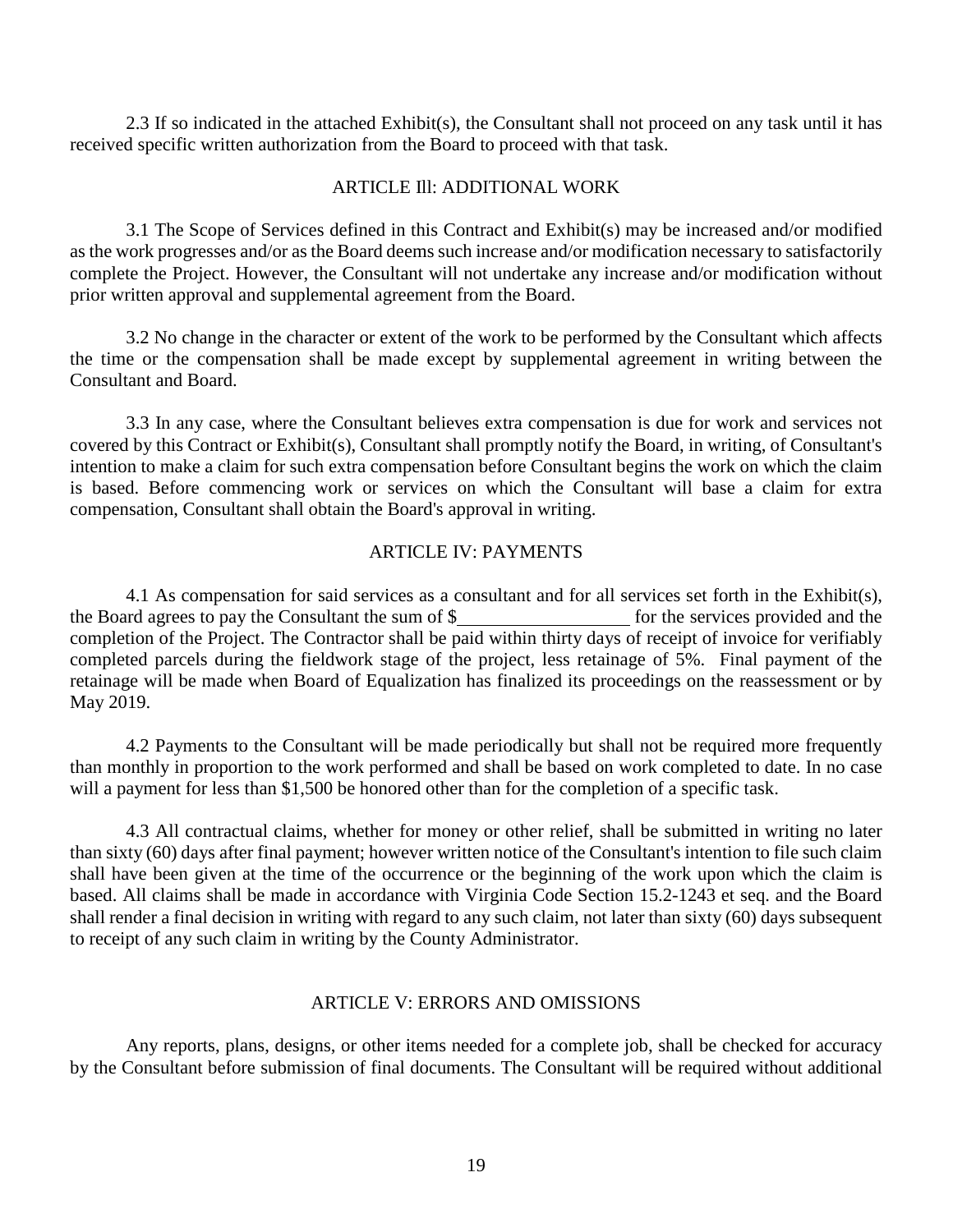2.3 If so indicated in the attached Exhibit(s), the Consultant shall not proceed on any task until it has received specific written authorization from the Board to proceed with that task.

#### ARTICLE Ill: ADDITIONAL WORK

3.1 The Scope of Services defined in this Contract and Exhibit(s) may be increased and/or modified as the work progresses and/or as the Board deems such increase and/or modification necessary to satisfactorily complete the Project. However, the Consultant will not undertake any increase and/or modification without prior written approval and supplemental agreement from the Board.

3.2 No change in the character or extent of the work to be performed by the Consultant which affects the time or the compensation shall be made except by supplemental agreement in writing between the Consultant and Board.

3.3 In any case, where the Consultant believes extra compensation is due for work and services not covered by this Contract or Exhibit(s), Consultant shall promptly notify the Board, in writing, of Consultant's intention to make a claim for such extra compensation before Consultant begins the work on which the claim is based. Before commencing work or services on which the Consultant will base a claim for extra compensation, Consultant shall obtain the Board's approval in writing.

#### ARTICLE IV: PAYMENTS

4.1 As compensation for said services as a consultant and for all services set forth in the Exhibit(s), the Board agrees to pay the Consultant the sum of  $\frac{1}{2}$  for the services provided and the completion of the Project. The Contractor shall be paid within thirty days of receipt of invoice for verifiably completed parcels during the fieldwork stage of the project, less retainage of 5%. Final payment of the retainage will be made when Board of Equalization has finalized its proceedings on the reassessment or by May 2019.

4.2 Payments to the Consultant will be made periodically but shall not be required more frequently than monthly in proportion to the work performed and shall be based on work completed to date. In no case will a payment for less than \$1,500 be honored other than for the completion of a specific task.

4.3 All contractual claims, whether for money or other relief, shall be submitted in writing no later than sixty (60) days after final payment; however written notice of the Consultant's intention to file such claim shall have been given at the time of the occurrence or the beginning of the work upon which the claim is based. All claims shall be made in accordance with Virginia Code Section 15.2-1243 et seq. and the Board shall render a final decision in writing with regard to any such claim, not later than sixty (60) days subsequent to receipt of any such claim in writing by the County Administrator.

#### ARTICLE V: ERRORS AND OMISSIONS

Any reports, plans, designs, or other items needed for a complete job, shall be checked for accuracy by the Consultant before submission of final documents. The Consultant will be required without additional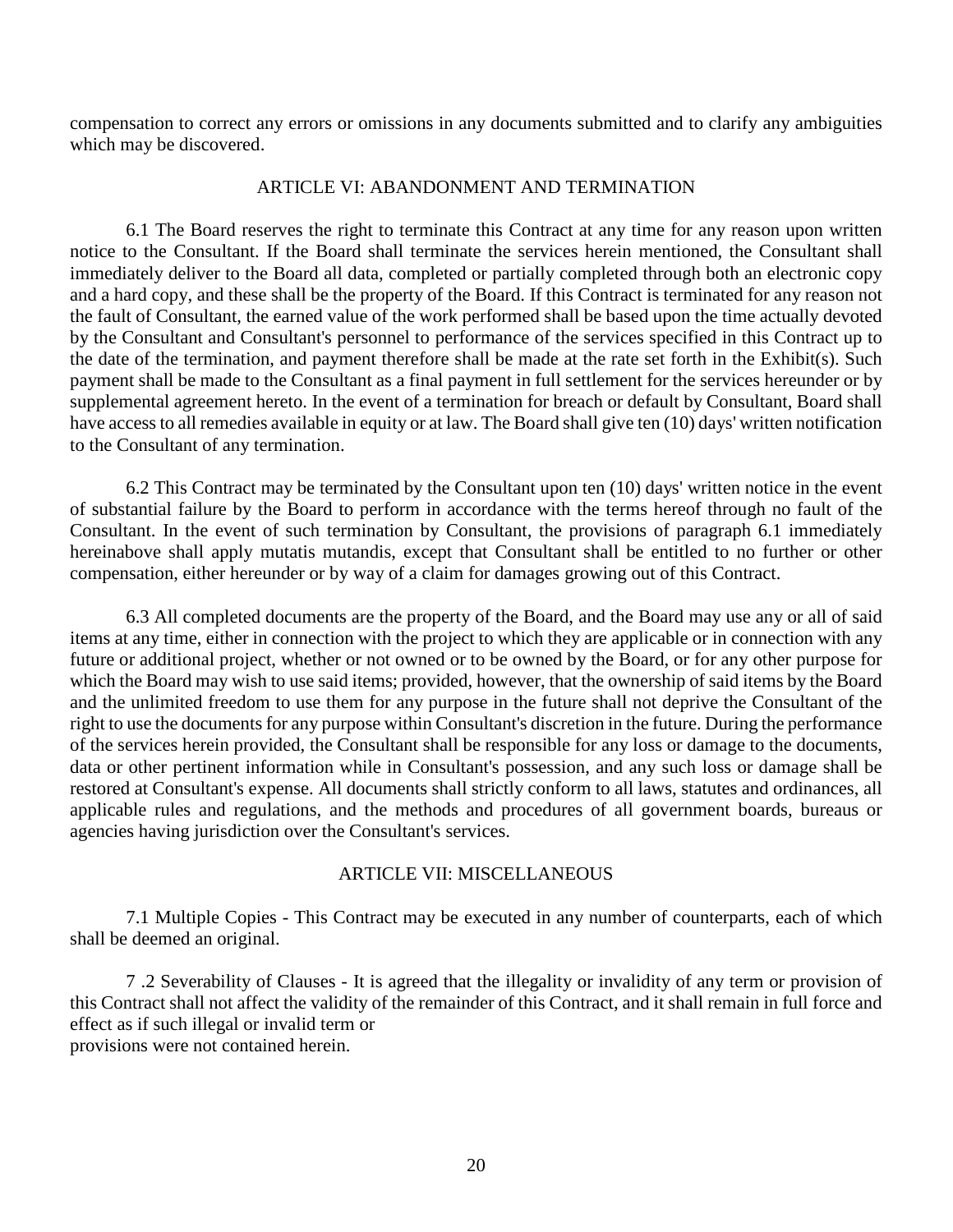compensation to correct any errors or omissions in any documents submitted and to clarify any ambiguities which may be discovered.

#### ARTICLE VI: ABANDONMENT AND TERMINATION

6.1 The Board reserves the right to terminate this Contract at any time for any reason upon written notice to the Consultant. If the Board shall terminate the services herein mentioned, the Consultant shall immediately deliver to the Board all data, completed or partially completed through both an electronic copy and a hard copy, and these shall be the property of the Board. If this Contract is terminated for any reason not the fault of Consultant, the earned value of the work performed shall be based upon the time actually devoted by the Consultant and Consultant's personnel to performance of the services specified in this Contract up to the date of the termination, and payment therefore shall be made at the rate set forth in the Exhibit(s). Such payment shall be made to the Consultant as a final payment in full settlement for the services hereunder or by supplemental agreement hereto. In the event of a termination for breach or default by Consultant, Board shall have access to all remedies available in equity or at law. The Board shall give ten (10) days' written notification to the Consultant of any termination.

6.2 This Contract may be terminated by the Consultant upon ten (10) days' written notice in the event of substantial failure by the Board to perform in accordance with the terms hereof through no fault of the Consultant. In the event of such termination by Consultant, the provisions of paragraph 6.1 immediately hereinabove shall apply mutatis mutandis, except that Consultant shall be entitled to no further or other compensation, either hereunder or by way of a claim for damages growing out of this Contract.

6.3 All completed documents are the property of the Board, and the Board may use any or all of said items at any time, either in connection with the project to which they are applicable or in connection with any future or additional project, whether or not owned or to be owned by the Board, or for any other purpose for which the Board may wish to use said items; provided, however, that the ownership of said items by the Board and the unlimited freedom to use them for any purpose in the future shall not deprive the Consultant of the right to use the documents for any purpose within Consultant's discretion in the future. During the performance of the services herein provided, the Consultant shall be responsible for any loss or damage to the documents, data or other pertinent information while in Consultant's possession, and any such loss or damage shall be restored at Consultant's expense. All documents shall strictly conform to all laws, statutes and ordinances, all applicable rules and regulations, and the methods and procedures of all government boards, bureaus or agencies having jurisdiction over the Consultant's services.

#### ARTICLE VII: MISCELLANEOUS

7.1 Multiple Copies - This Contract may be executed in any number of counterparts, each of which shall be deemed an original.

7 .2 Severability of Clauses - It is agreed that the illegality or invalidity of any term or provision of this Contract shall not affect the validity of the remainder of this Contract, and it shall remain in full force and effect as if such illegal or invalid term or

provisions were not contained herein.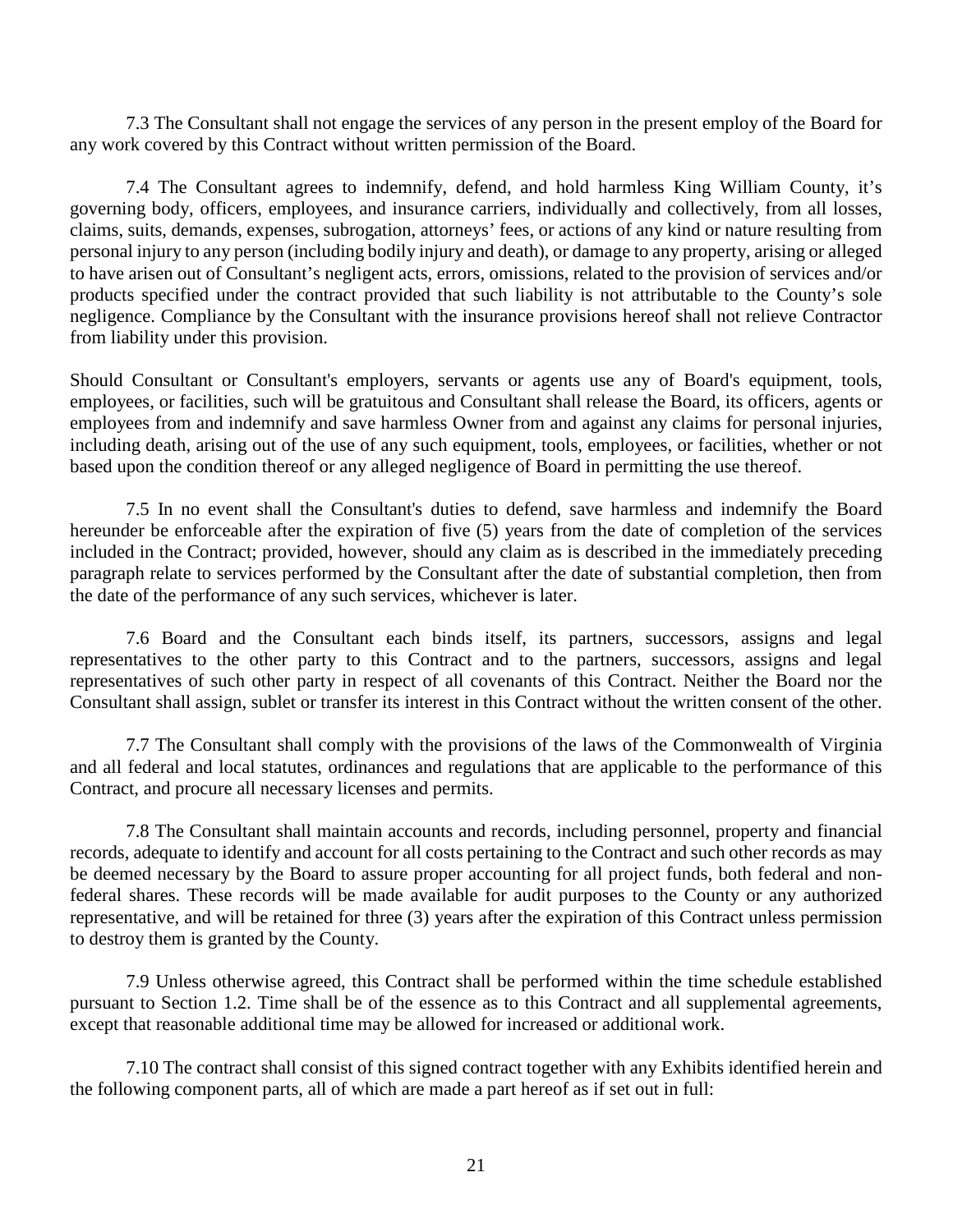7.3 The Consultant shall not engage the services of any person in the present employ of the Board for any work covered by this Contract without written permission of the Board.

7.4 The Consultant agrees to indemnify, defend, and hold harmless King William County, it's governing body, officers, employees, and insurance carriers, individually and collectively, from all losses, claims, suits, demands, expenses, subrogation, attorneys' fees, or actions of any kind or nature resulting from personal injury to any person (including bodily injury and death), or damage to any property, arising or alleged to have arisen out of Consultant's negligent acts, errors, omissions, related to the provision of services and/or products specified under the contract provided that such liability is not attributable to the County's sole negligence. Compliance by the Consultant with the insurance provisions hereof shall not relieve Contractor from liability under this provision.

Should Consultant or Consultant's employers, servants or agents use any of Board's equipment, tools, employees, or facilities, such will be gratuitous and Consultant shall release the Board, its officers, agents or employees from and indemnify and save harmless Owner from and against any claims for personal injuries, including death, arising out of the use of any such equipment, tools, employees, or facilities, whether or not based upon the condition thereof or any alleged negligence of Board in permitting the use thereof.

7.5 In no event shall the Consultant's duties to defend, save harmless and indemnify the Board hereunder be enforceable after the expiration of five (5) years from the date of completion of the services included in the Contract; provided, however, should any claim as is described in the immediately preceding paragraph relate to services performed by the Consultant after the date of substantial completion, then from the date of the performance of any such services, whichever is later.

7.6 Board and the Consultant each binds itself, its partners, successors, assigns and legal representatives to the other party to this Contract and to the partners, successors, assigns and legal representatives of such other party in respect of all covenants of this Contract. Neither the Board nor the Consultant shall assign, sublet or transfer its interest in this Contract without the written consent of the other.

7.7 The Consultant shall comply with the provisions of the laws of the Commonwealth of Virginia and all federal and local statutes, ordinances and regulations that are applicable to the performance of this Contract, and procure all necessary licenses and permits.

7.8 The Consultant shall maintain accounts and records, including personnel, property and financial records, adequate to identify and account for all costs pertaining to the Contract and such other records as may be deemed necessary by the Board to assure proper accounting for all project funds, both federal and nonfederal shares. These records will be made available for audit purposes to the County or any authorized representative, and will be retained for three (3) years after the expiration of this Contract unless permission to destroy them is granted by the County.

7.9 Unless otherwise agreed, this Contract shall be performed within the time schedule established pursuant to Section 1.2. Time shall be of the essence as to this Contract and all supplemental agreements, except that reasonable additional time may be allowed for increased or additional work.

7.10 The contract shall consist of this signed contract together with any Exhibits identified herein and the following component parts, all of which are made a part hereof as if set out in full: